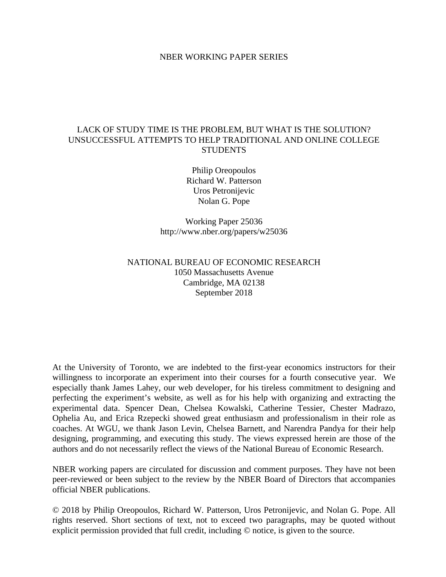## NBER WORKING PAPER SERIES

## LACK OF STUDY TIME IS THE PROBLEM, BUT WHAT IS THE SOLUTION? UNSUCCESSFUL ATTEMPTS TO HELP TRADITIONAL AND ONLINE COLLEGE **STUDENTS**

Philip Oreopoulos Richard W. Patterson Uros Petronijevic Nolan G. Pope

Working Paper 25036 http://www.nber.org/papers/w25036

## NATIONAL BUREAU OF ECONOMIC RESEARCH 1050 Massachusetts Avenue Cambridge, MA 02138 September 2018

At the University of Toronto, we are indebted to the first-year economics instructors for their willingness to incorporate an experiment into their courses for a fourth consecutive year. We especially thank James Lahey, our web developer, for his tireless commitment to designing and perfecting the experiment's website, as well as for his help with organizing and extracting the experimental data. Spencer Dean, Chelsea Kowalski, Catherine Tessier, Chester Madrazo, Ophelia Au, and Erica Rzepecki showed great enthusiasm and professionalism in their role as coaches. At WGU, we thank Jason Levin, Chelsea Barnett, and Narendra Pandya for their help designing, programming, and executing this study. The views expressed herein are those of the authors and do not necessarily reflect the views of the National Bureau of Economic Research.

NBER working papers are circulated for discussion and comment purposes. They have not been peer-reviewed or been subject to the review by the NBER Board of Directors that accompanies official NBER publications.

© 2018 by Philip Oreopoulos, Richard W. Patterson, Uros Petronijevic, and Nolan G. Pope. All rights reserved. Short sections of text, not to exceed two paragraphs, may be quoted without explicit permission provided that full credit, including © notice, is given to the source.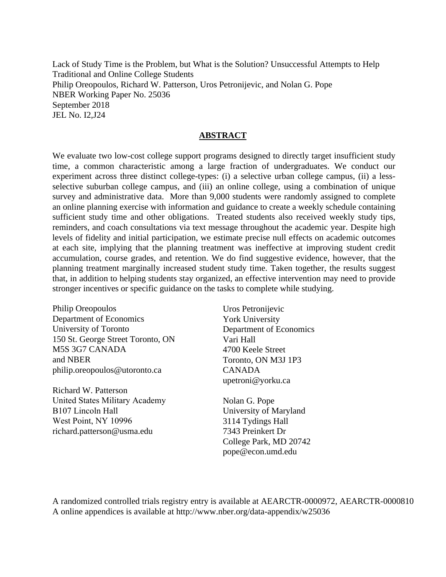Lack of Study Time is the Problem, but What is the Solution? Unsuccessful Attempts to Help Traditional and Online College Students Philip Oreopoulos, Richard W. Patterson, Uros Petronijevic, and Nolan G. Pope NBER Working Paper No. 25036 September 2018 JEL No. I2,J24

## **ABSTRACT**

We evaluate two low-cost college support programs designed to directly target insufficient study time, a common characteristic among a large fraction of undergraduates. We conduct our experiment across three distinct college-types: (i) a selective urban college campus, (ii) a lessselective suburban college campus, and (iii) an online college, using a combination of unique survey and administrative data. More than 9,000 students were randomly assigned to complete an online planning exercise with information and guidance to create a weekly schedule containing sufficient study time and other obligations. Treated students also received weekly study tips, reminders, and coach consultations via text message throughout the academic year. Despite high levels of fidelity and initial participation, we estimate precise null effects on academic outcomes at each site, implying that the planning treatment was ineffective at improving student credit accumulation, course grades, and retention. We do find suggestive evidence, however, that the planning treatment marginally increased student study time. Taken together, the results suggest that, in addition to helping students stay organized, an effective intervention may need to provide stronger incentives or specific guidance on the tasks to complete while studying.

Philip Oreopoulos Department of Economics University of Toronto 150 St. George Street Toronto, ON M5S 3G7 CANADA and NBER philip.oreopoulos@utoronto.ca

Richard W. Patterson United States Military Academy B107 Lincoln Hall West Point, NY 10996 richard.patterson@usma.edu

Uros Petronijevic York University Department of Economics Vari Hall 4700 Keele Street Toronto, ON M3J 1P3 CANADA upetroni@yorku.ca

Nolan G. Pope University of Maryland 3114 Tydings Hall 7343 Preinkert Dr College Park, MD 20742 pope@econ.umd.edu

A randomized controlled trials registry entry is available at AEARCTR-0000972, AEARCTR-0000810 A online appendices is available at http://www.nber.org/data-appendix/w25036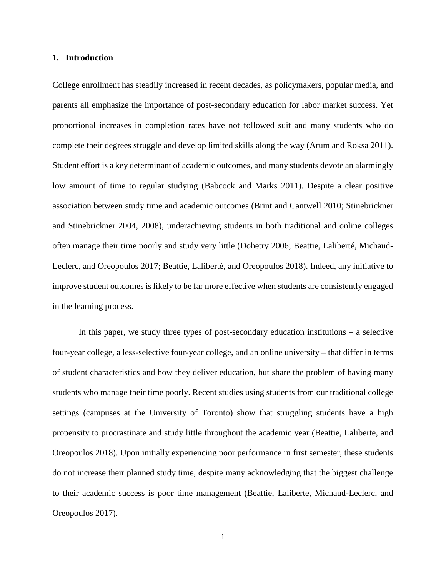## **1. Introduction**

College enrollment has steadily increased in recent decades, as policymakers, popular media, and parents all emphasize the importance of post-secondary education for labor market success. Yet proportional increases in completion rates have not followed suit and many students who do complete their degrees struggle and develop limited skills along the way (Arum and Roksa 2011). Student effort is a key determinant of academic outcomes, and many students devote an alarmingly low amount of time to regular studying (Babcock and Marks 2011). Despite a clear positive association between study time and academic outcomes (Brint and Cantwell 2010; Stinebrickner and Stinebrickner 2004, 2008), underachieving students in both traditional and online colleges often manage their time poorly and study very little (Dohetry 2006; Beattie, Laliberté, Michaud-Leclerc, and Oreopoulos 2017; Beattie, Laliberté, and Oreopoulos 2018). Indeed, any initiative to improve student outcomes is likely to be far more effective when students are consistently engaged in the learning process.

In this paper, we study three types of post-secondary education institutions – a selective four-year college, a less-selective four-year college, and an online university – that differ in terms of student characteristics and how they deliver education, but share the problem of having many students who manage their time poorly. Recent studies using students from our traditional college settings (campuses at the University of Toronto) show that struggling students have a high propensity to procrastinate and study little throughout the academic year (Beattie, Laliberte, and Oreopoulos 2018). Upon initially experiencing poor performance in first semester, these students do not increase their planned study time, despite many acknowledging that the biggest challenge to their academic success is poor time management (Beattie, Laliberte, Michaud-Leclerc, and Oreopoulos 2017).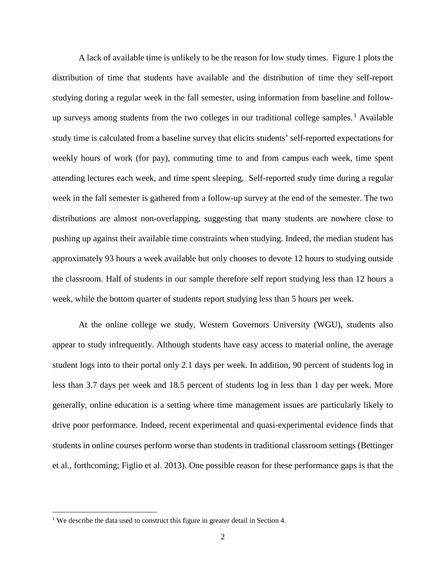A lack of available time is unlikely to be the reason for low study times. Figure 1 plots the distribution of time that students have available and the distribution of time they self-report studying during a regular week in the fall semester, using information from baseline and follow-up surveys among students from the two colleges in our traditional college samples.<sup>[1](#page-3-0)</sup> Available study time is calculated from a baseline survey that elicits students' self-reported expectations for weekly hours of work (for pay), commuting time to and from campus each week, time spent attending lectures each week, and time spent sleeping. Self-reported study time during a regular week in the fall semester is gathered from a follow-up survey at the end of the semester. The two distributions are almost non-overlapping, suggesting that many students are nowhere close to pushing up against their available time constraints when studying. Indeed, the median student has approximately 93 hours a week available but only chooses to devote 12 hours to studying outside the classroom. Half of students in our sample therefore self report studying less than 12 hours a week, while the bottom quarter of students report studying less than 5 hours per week.

At the online college we study, Western Governors University (WGU), students also appear to study infrequently. Although students have easy access to material online, the average student logs into to their portal only 2.1 days per week. In addition, 90 percent of students log in less than 3.7 days per week and 18.5 percent of students log in less than 1 day per week. More generally, online education is a setting where time management issues are particularly likely to drive poor performance. Indeed, recent experimental and quasi-experimental evidence finds that students in online courses perform worse than students in traditional classroom settings (Bettinger et al., forthcoming; Figlio et al. 2013). One possible reason for these performance gaps is that the

<span id="page-3-0"></span><sup>&</sup>lt;sup>1</sup> We describe the data used to construct this figure in greater detail in Section 4.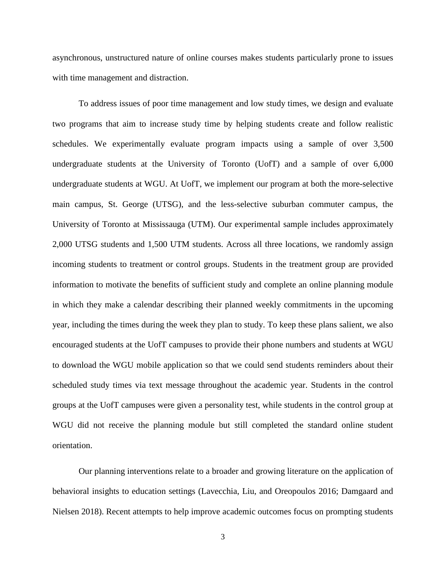asynchronous, unstructured nature of online courses makes students particularly prone to issues with time management and distraction.

To address issues of poor time management and low study times, we design and evaluate two programs that aim to increase study time by helping students create and follow realistic schedules. We experimentally evaluate program impacts using a sample of over 3,500 undergraduate students at the University of Toronto (UofT) and a sample of over 6,000 undergraduate students at WGU. At UofT, we implement our program at both the more-selective main campus, St. George (UTSG), and the less-selective suburban commuter campus, the University of Toronto at Mississauga (UTM). Our experimental sample includes approximately 2,000 UTSG students and 1,500 UTM students. Across all three locations, we randomly assign incoming students to treatment or control groups. Students in the treatment group are provided information to motivate the benefits of sufficient study and complete an online planning module in which they make a calendar describing their planned weekly commitments in the upcoming year, including the times during the week they plan to study. To keep these plans salient, we also encouraged students at the UofT campuses to provide their phone numbers and students at WGU to download the WGU mobile application so that we could send students reminders about their scheduled study times via text message throughout the academic year. Students in the control groups at the UofT campuses were given a personality test, while students in the control group at WGU did not receive the planning module but still completed the standard online student orientation.

Our planning interventions relate to a broader and growing literature on the application of behavioral insights to education settings (Lavecchia, Liu, and Oreopoulos 2016; Damgaard and Nielsen 2018). Recent attempts to help improve academic outcomes focus on prompting students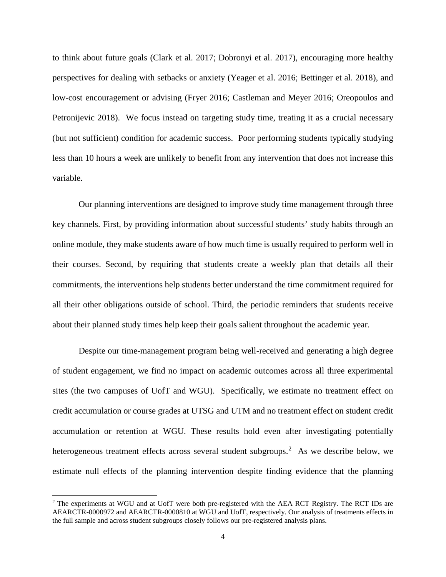to think about future goals (Clark et al. 2017; Dobronyi et al. 2017), encouraging more healthy perspectives for dealing with setbacks or anxiety (Yeager et al. 2016; Bettinger et al. 2018), and low-cost encouragement or advising (Fryer 2016; Castleman and Meyer 2016; Oreopoulos and Petronijevic 2018). We focus instead on targeting study time, treating it as a crucial necessary (but not sufficient) condition for academic success. Poor performing students typically studying less than 10 hours a week are unlikely to benefit from any intervention that does not increase this variable.

Our planning interventions are designed to improve study time management through three key channels. First, by providing information about successful students' study habits through an online module, they make students aware of how much time is usually required to perform well in their courses. Second, by requiring that students create a weekly plan that details all their commitments, the interventions help students better understand the time commitment required for all their other obligations outside of school. Third, the periodic reminders that students receive about their planned study times help keep their goals salient throughout the academic year.

Despite our time-management program being well-received and generating a high degree of student engagement, we find no impact on academic outcomes across all three experimental sites (the two campuses of UofT and WGU). Specifically, we estimate no treatment effect on credit accumulation or course grades at UTSG and UTM and no treatment effect on student credit accumulation or retention at WGU. These results hold even after investigating potentially heterogeneous treatment effects across several student subgroups.<sup>[2](#page-5-0)</sup> As we describe below, we estimate null effects of the planning intervention despite finding evidence that the planning

<span id="page-5-0"></span><sup>&</sup>lt;sup>2</sup> The experiments at WGU and at UofT were both pre-registered with the AEA RCT Registry. The RCT IDs are AEARCTR-0000972 and AEARCTR-0000810 at WGU and UofT, respectively. Our analysis of treatments effects in the full sample and across student subgroups closely follows our pre-registered analysis plans.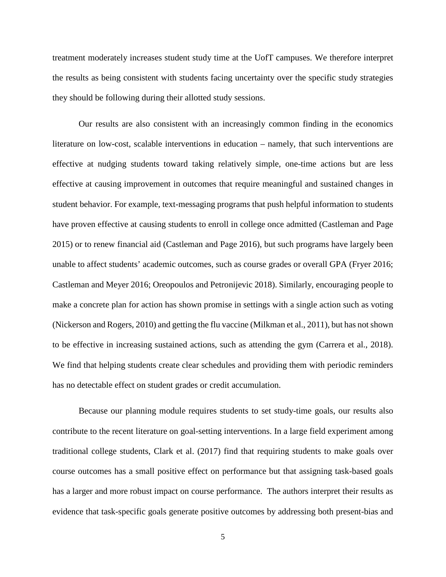treatment moderately increases student study time at the UofT campuses. We therefore interpret the results as being consistent with students facing uncertainty over the specific study strategies they should be following during their allotted study sessions.

Our results are also consistent with an increasingly common finding in the economics literature on low-cost, scalable interventions in education – namely, that such interventions are effective at nudging students toward taking relatively simple, one-time actions but are less effective at causing improvement in outcomes that require meaningful and sustained changes in student behavior. For example, text-messaging programs that push helpful information to students have proven effective at causing students to enroll in college once admitted (Castleman and Page 2015) or to renew financial aid (Castleman and Page 2016), but such programs have largely been unable to affect students' academic outcomes, such as course grades or overall GPA (Fryer 2016; Castleman and Meyer 2016; Oreopoulos and Petronijevic 2018). Similarly, encouraging people to make a concrete plan for action has shown promise in settings with a single action such as voting (Nickerson and Rogers, 2010) and getting the flu vaccine (Milkman et al., 2011), but has not shown to be effective in increasing sustained actions, such as attending the gym (Carrera et al., 2018). We find that helping students create clear schedules and providing them with periodic reminders has no detectable effect on student grades or credit accumulation.

Because our planning module requires students to set study-time goals, our results also contribute to the recent literature on goal-setting interventions. In a large field experiment among traditional college students, Clark et al. (2017) find that requiring students to make goals over course outcomes has a small positive effect on performance but that assigning task-based goals has a larger and more robust impact on course performance. The authors interpret their results as evidence that task-specific goals generate positive outcomes by addressing both present-bias and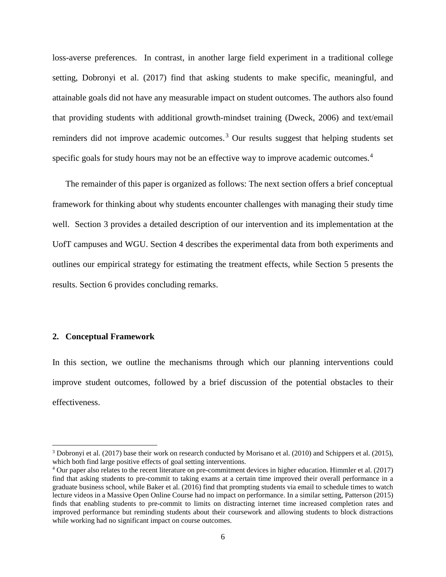loss-averse preferences. In contrast, in another large field experiment in a traditional college setting, Dobronyi et al. (2017) find that asking students to make specific, meaningful, and attainable goals did not have any measurable impact on student outcomes. The authors also found that providing students with additional growth-mindset training (Dweck, 2006) and text/email reminders did not improve academic outcomes.<sup>[3](#page-7-0)</sup> Our results suggest that helping students set specific goals for study hours may not be an effective way to improve academic outcomes.<sup>[4](#page-7-1)</sup>

The remainder of this paper is organized as follows: The next section offers a brief conceptual framework for thinking about why students encounter challenges with managing their study time well. Section 3 provides a detailed description of our intervention and its implementation at the UofT campuses and WGU. Section 4 describes the experimental data from both experiments and outlines our empirical strategy for estimating the treatment effects, while Section 5 presents the results. Section 6 provides concluding remarks.

## **2. Conceptual Framework**

l

In this section, we outline the mechanisms through which our planning interventions could improve student outcomes, followed by a brief discussion of the potential obstacles to their effectiveness.

<span id="page-7-0"></span><sup>3</sup> Dobronyi et al. (2017) base their work on research conducted by Morisano et al. (2010) and Schippers et al. (2015), which both find large positive effects of goal setting interventions.

<span id="page-7-1"></span><sup>4</sup> Our paper also relates to the recent literature on pre-commitment devices in higher education. Himmler et al. (2017) find that asking students to pre-commit to taking exams at a certain time improved their overall performance in a graduate business school, while Baker et al. (2016) find that prompting students via email to schedule times to watch lecture videos in a Massive Open Online Course had no impact on performance. In a similar setting, Patterson (2015) finds that enabling students to pre-commit to limits on distracting internet time increased completion rates and improved performance but reminding students about their coursework and allowing students to block distractions while working had no significant impact on course outcomes.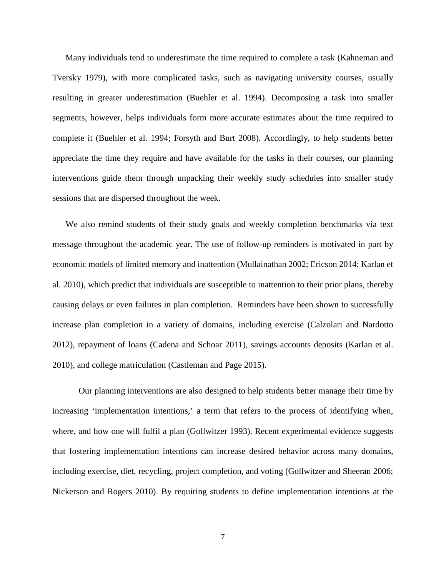Many individuals tend to underestimate the time required to complete a task (Kahneman and Tversky 1979), with more complicated tasks, such as navigating university courses, usually resulting in greater underestimation (Buehler et al. 1994). Decomposing a task into smaller segments, however, helps individuals form more accurate estimates about the time required to complete it (Buehler et al. 1994; Forsyth and Burt 2008). Accordingly, to help students better appreciate the time they require and have available for the tasks in their courses, our planning interventions guide them through unpacking their weekly study schedules into smaller study sessions that are dispersed throughout the week.

We also remind students of their study goals and weekly completion benchmarks via text message throughout the academic year. The use of follow-up reminders is motivated in part by economic models of limited memory and inattention (Mullainathan 2002; Ericson 2014; Karlan et al. 2010), which predict that individuals are susceptible to inattention to their prior plans, thereby causing delays or even failures in plan completion. Reminders have been shown to successfully increase plan completion in a variety of domains, including exercise (Calzolari and Nardotto 2012), repayment of loans (Cadena and Schoar 2011), savings accounts deposits (Karlan et al. 2010), and college matriculation (Castleman and Page 2015).

Our planning interventions are also designed to help students better manage their time by increasing 'implementation intentions,' a term that refers to the process of identifying when, where, and how one will fulfil a plan (Gollwitzer 1993). Recent experimental evidence suggests that fostering implementation intentions can increase desired behavior across many domains, including exercise, diet, recycling, project completion, and voting (Gollwitzer and Sheeran 2006; Nickerson and Rogers 2010). By requiring students to define implementation intentions at the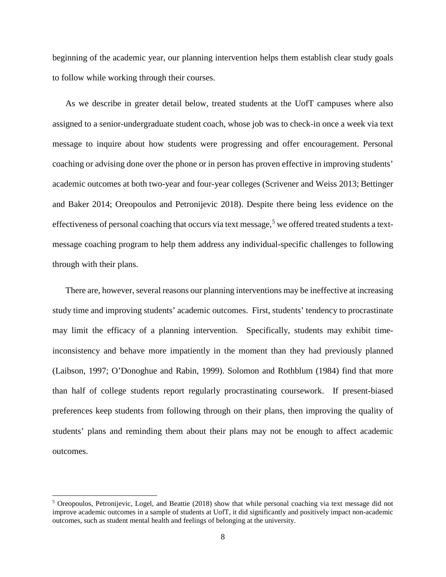beginning of the academic year, our planning intervention helps them establish clear study goals to follow while working through their courses.

As we describe in greater detail below, treated students at the UofT campuses where also assigned to a senior-undergraduate student coach, whose job was to check-in once a week via text message to inquire about how students were progressing and offer encouragement. Personal coaching or advising done over the phone or in person has proven effective in improving students' academic outcomes at both two-year and four-year colleges (Scrivener and Weiss 2013; Bettinger and Baker 2014; Oreopoulos and Petronijevic 2018). Despite there being less evidence on the effectiveness of personal coaching that occurs via text message,<sup>[5](#page-9-0)</sup> we offered treated students a textmessage coaching program to help them address any individual-specific challenges to following through with their plans.

There are, however, several reasons our planning interventions may be ineffective at increasing study time and improving students' academic outcomes. First, students' tendency to procrastinate may limit the efficacy of a planning intervention. Specifically, students may exhibit timeinconsistency and behave more impatiently in the moment than they had previously planned (Laibson, 1997; O'Donoghue and Rabin, 1999). Solomon and Rothblum (1984) find that more than half of college students report regularly procrastinating coursework. If present-biased preferences keep students from following through on their plans, then improving the quality of students' plans and reminding them about their plans may not be enough to affect academic outcomes.

<span id="page-9-0"></span><sup>5</sup> Oreopoulos, Petronijevic, Logel, and Beattie (2018) show that while personal coaching via text message did not improve academic outcomes in a sample of students at UofT, it did significantly and positively impact non-academic outcomes, such as student mental health and feelings of belonging at the university.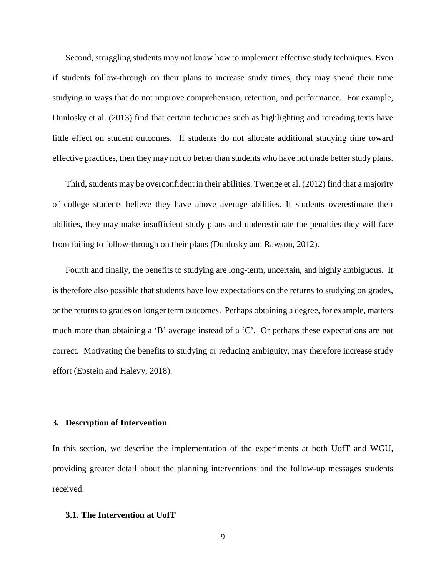Second, struggling students may not know how to implement effective study techniques. Even if students follow-through on their plans to increase study times, they may spend their time studying in ways that do not improve comprehension, retention, and performance. For example, Dunlosky et al. (2013) find that certain techniques such as highlighting and rereading texts have little effect on student outcomes. If students do not allocate additional studying time toward effective practices, then they may not do better than students who have not made better study plans.

Third, students may be overconfident in their abilities. Twenge et al. (2012) find that a majority of college students believe they have above average abilities. If students overestimate their abilities, they may make insufficient study plans and underestimate the penalties they will face from failing to follow-through on their plans (Dunlosky and Rawson, 2012).

Fourth and finally, the benefits to studying are long-term, uncertain, and highly ambiguous. It is therefore also possible that students have low expectations on the returns to studying on grades, or the returns to grades on longer term outcomes. Perhaps obtaining a degree, for example, matters much more than obtaining a 'B' average instead of a 'C'. Or perhaps these expectations are not correct. Motivating the benefits to studying or reducing ambiguity, may therefore increase study effort (Epstein and Halevy, 2018).

## **3. Description of Intervention**

In this section, we describe the implementation of the experiments at both UofT and WGU, providing greater detail about the planning interventions and the follow-up messages students received.

#### **3.1. The Intervention at UofT**

9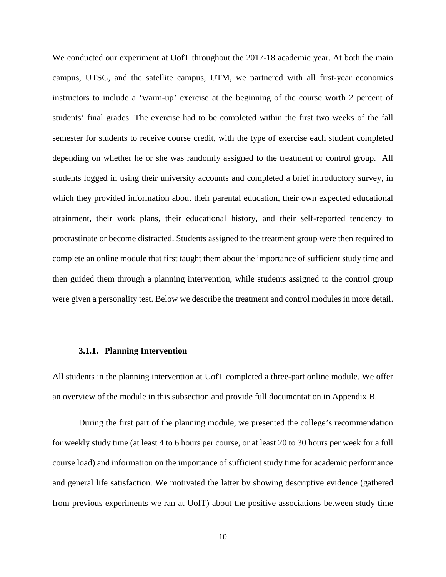We conducted our experiment at UofT throughout the 2017-18 academic year. At both the main campus, UTSG, and the satellite campus, UTM, we partnered with all first-year economics instructors to include a 'warm-up' exercise at the beginning of the course worth 2 percent of students' final grades. The exercise had to be completed within the first two weeks of the fall semester for students to receive course credit, with the type of exercise each student completed depending on whether he or she was randomly assigned to the treatment or control group. All students logged in using their university accounts and completed a brief introductory survey, in which they provided information about their parental education, their own expected educational attainment, their work plans, their educational history, and their self-reported tendency to procrastinate or become distracted. Students assigned to the treatment group were then required to complete an online module that first taught them about the importance of sufficient study time and then guided them through a planning intervention, while students assigned to the control group were given a personality test. Below we describe the treatment and control modules in more detail.

#### **3.1.1. Planning Intervention**

All students in the planning intervention at UofT completed a three-part online module. We offer an overview of the module in this subsection and provide full documentation in Appendix B.

During the first part of the planning module, we presented the college's recommendation for weekly study time (at least 4 to 6 hours per course, or at least 20 to 30 hours per week for a full course load) and information on the importance of sufficient study time for academic performance and general life satisfaction. We motivated the latter by showing descriptive evidence (gathered from previous experiments we ran at UofT) about the positive associations between study time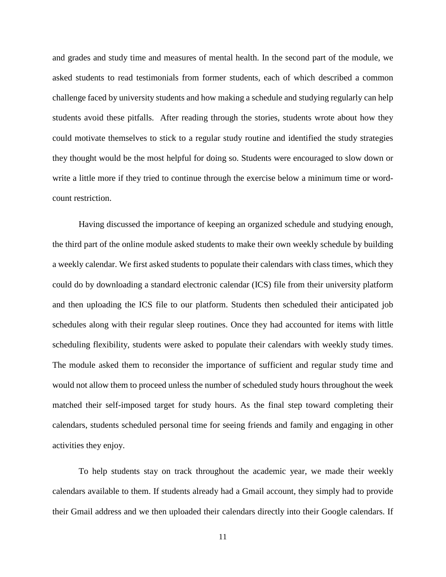and grades and study time and measures of mental health. In the second part of the module, we asked students to read testimonials from former students, each of which described a common challenge faced by university students and how making a schedule and studying regularly can help students avoid these pitfalls. After reading through the stories, students wrote about how they could motivate themselves to stick to a regular study routine and identified the study strategies they thought would be the most helpful for doing so. Students were encouraged to slow down or write a little more if they tried to continue through the exercise below a minimum time or wordcount restriction.

Having discussed the importance of keeping an organized schedule and studying enough, the third part of the online module asked students to make their own weekly schedule by building a weekly calendar. We first asked students to populate their calendars with class times, which they could do by downloading a standard electronic calendar (ICS) file from their university platform and then uploading the ICS file to our platform. Students then scheduled their anticipated job schedules along with their regular sleep routines. Once they had accounted for items with little scheduling flexibility, students were asked to populate their calendars with weekly study times. The module asked them to reconsider the importance of sufficient and regular study time and would not allow them to proceed unless the number of scheduled study hours throughout the week matched their self-imposed target for study hours. As the final step toward completing their calendars, students scheduled personal time for seeing friends and family and engaging in other activities they enjoy.

To help students stay on track throughout the academic year, we made their weekly calendars available to them. If students already had a Gmail account, they simply had to provide their Gmail address and we then uploaded their calendars directly into their Google calendars. If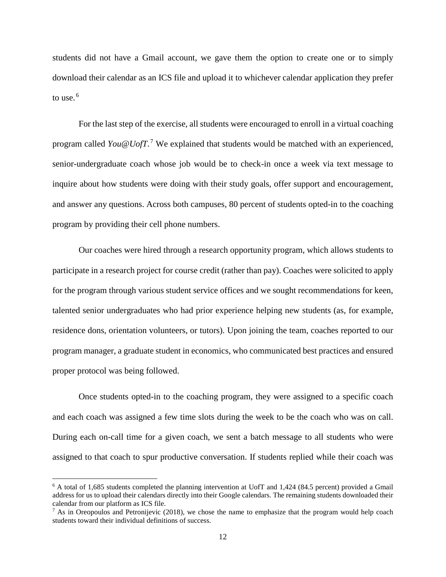students did not have a Gmail account, we gave them the option to create one or to simply download their calendar as an ICS file and upload it to whichever calendar application they prefer to use. $<sup>6</sup>$  $<sup>6</sup>$  $<sup>6</sup>$ </sup>

For the last step of the exercise, all students were encouraged to enroll in a virtual coaching program called *You@UofT*. [7](#page-13-1) We explained that students would be matched with an experienced, senior-undergraduate coach whose job would be to check-in once a week via text message to inquire about how students were doing with their study goals, offer support and encouragement, and answer any questions. Across both campuses, 80 percent of students opted-in to the coaching program by providing their cell phone numbers.

Our coaches were hired through a research opportunity program, which allows students to participate in a research project for course credit (rather than pay). Coaches were solicited to apply for the program through various student service offices and we sought recommendations for keen, talented senior undergraduates who had prior experience helping new students (as, for example, residence dons, orientation volunteers, or tutors). Upon joining the team, coaches reported to our program manager, a graduate student in economics, who communicated best practices and ensured proper protocol was being followed.

Once students opted-in to the coaching program, they were assigned to a specific coach and each coach was assigned a few time slots during the week to be the coach who was on call. During each on-call time for a given coach, we sent a batch message to all students who were assigned to that coach to spur productive conversation. If students replied while their coach was

 $\overline{\phantom{a}}$ 

<span id="page-13-0"></span><sup>6</sup> A total of 1,685 students completed the planning intervention at UofT and 1,424 (84.5 percent) provided a Gmail address for us to upload their calendars directly into their Google calendars. The remaining students downloaded their calendar from our platform as ICS file.

<span id="page-13-1"></span> $7$  As in Oreopoulos and Petronijevic (2018), we chose the name to emphasize that the program would help coach students toward their individual definitions of success.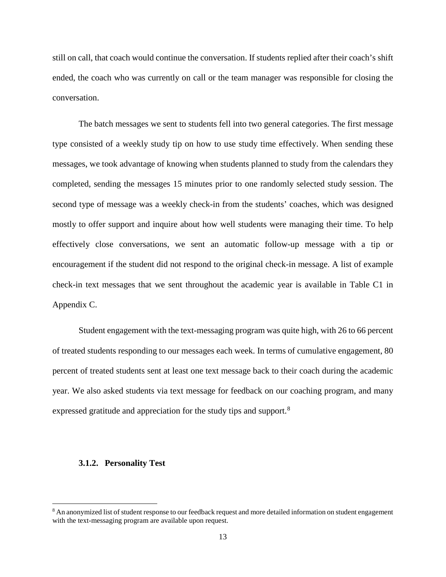still on call, that coach would continue the conversation. If students replied after their coach's shift ended, the coach who was currently on call or the team manager was responsible for closing the conversation.

The batch messages we sent to students fell into two general categories. The first message type consisted of a weekly study tip on how to use study time effectively. When sending these messages, we took advantage of knowing when students planned to study from the calendars they completed, sending the messages 15 minutes prior to one randomly selected study session. The second type of message was a weekly check-in from the students' coaches, which was designed mostly to offer support and inquire about how well students were managing their time. To help effectively close conversations, we sent an automatic follow-up message with a tip or encouragement if the student did not respond to the original check-in message. A list of example check-in text messages that we sent throughout the academic year is available in Table C1 in Appendix C.

Student engagement with the text-messaging program was quite high, with 26 to 66 percent of treated students responding to our messages each week. In terms of cumulative engagement, 80 percent of treated students sent at least one text message back to their coach during the academic year. We also asked students via text message for feedback on our coaching program, and many expressed gratitude and appreciation for the study tips and support.<sup>[8](#page-14-0)</sup>

#### **3.1.2. Personality Test**

<span id="page-14-0"></span><sup>8</sup> An anonymized list of student response to our feedback request and more detailed information on student engagement with the text-messaging program are available upon request.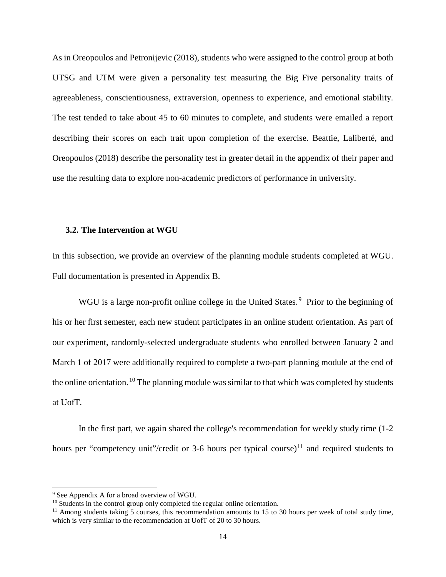As in Oreopoulos and Petronijevic (2018), students who were assigned to the control group at both UTSG and UTM were given a personality test measuring the Big Five personality traits of agreeableness, conscientiousness, extraversion, openness to experience, and emotional stability. The test tended to take about 45 to 60 minutes to complete, and students were emailed a report describing their scores on each trait upon completion of the exercise. Beattie, Laliberté, and Oreopoulos (2018) describe the personality test in greater detail in the appendix of their paper and use the resulting data to explore non-academic predictors of performance in university.

## **3.2. The Intervention at WGU**

In this subsection, we provide an overview of the planning module students completed at WGU. Full documentation is presented in Appendix B.

WGU is a large non-profit online college in the United States.<sup>[9](#page-15-0)</sup> Prior to the beginning of his or her first semester, each new student participates in an online student orientation. As part of our experiment, randomly-selected undergraduate students who enrolled between January 2 and March 1 of 2017 were additionally required to complete a two-part planning module at the end of the online orientation. <sup>[10](#page-15-1)</sup> The planning module was similar to that which was completed by students at UofT.

In the first part, we again shared the college's recommendation for weekly study time (1-2 hours per "competency unit"/credit or 3-6 hours per typical course) $11$  and required students to

<span id="page-15-0"></span><sup>&</sup>lt;sup>9</sup> See Appendix A for a broad overview of WGU.

<span id="page-15-1"></span><sup>&</sup>lt;sup>10</sup> Students in the control group only completed the regular online orientation.

<span id="page-15-2"></span> $11$  Among students taking 5 courses, this recommendation amounts to 15 to 30 hours per week of total study time, which is very similar to the recommendation at UofT of 20 to 30 hours.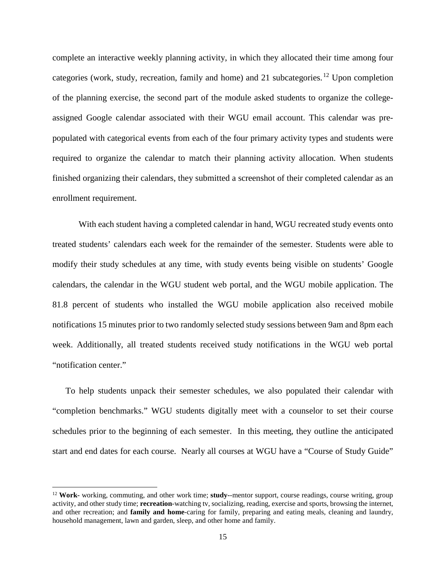complete an interactive weekly planning activity, in which they allocated their time among four categories (work, study, recreation, family and home) and 21 subcategories.<sup>[12](#page-16-0)</sup> Upon completion of the planning exercise, the second part of the module asked students to organize the collegeassigned Google calendar associated with their WGU email account. This calendar was prepopulated with categorical events from each of the four primary activity types and students were required to organize the calendar to match their planning activity allocation. When students finished organizing their calendars, they submitted a screenshot of their completed calendar as an enrollment requirement.

With each student having a completed calendar in hand, WGU recreated study events onto treated students' calendars each week for the remainder of the semester. Students were able to modify their study schedules at any time, with study events being visible on students' Google calendars, the calendar in the WGU student web portal, and the WGU mobile application. The 81.8 percent of students who installed the WGU mobile application also received mobile notifications 15 minutes prior to two randomly selected study sessions between 9am and 8pm each week. Additionally, all treated students received study notifications in the WGU web portal "notification center."

To help students unpack their semester schedules, we also populated their calendar with "completion benchmarks." WGU students digitally meet with a counselor to set their course schedules prior to the beginning of each semester. In this meeting, they outline the anticipated start and end dates for each course. Nearly all courses at WGU have a "Course of Study Guide"

<span id="page-16-0"></span><sup>12</sup> **Work-** working, commuting, and other work time; **study-**-mentor support, course readings, course writing, group activity, and other study time; **recreation**-watching tv, socializing, reading, exercise and sports, browsing the internet, and other recreation; and **family and home**-caring for family, preparing and eating meals, cleaning and laundry, household management, lawn and garden, sleep, and other home and family.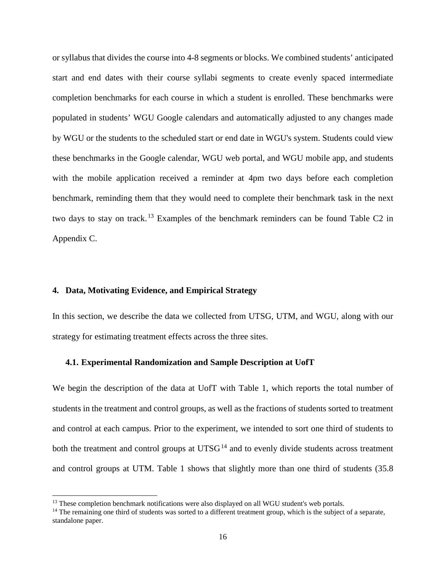or syllabus that divides the course into 4-8 segments or blocks. We combined students' anticipated start and end dates with their course syllabi segments to create evenly spaced intermediate completion benchmarks for each course in which a student is enrolled. These benchmarks were populated in students' WGU Google calendars and automatically adjusted to any changes made by WGU or the students to the scheduled start or end date in WGU's system. Students could view these benchmarks in the Google calendar, WGU web portal, and WGU mobile app, and students with the mobile application received a reminder at 4pm two days before each completion benchmark, reminding them that they would need to complete their benchmark task in the next two days to stay on track. [13](#page-17-0) Examples of the benchmark reminders can be found Table C2 in Appendix C.

## **4. Data, Motivating Evidence, and Empirical Strategy**

l

In this section, we describe the data we collected from UTSG, UTM, and WGU, along with our strategy for estimating treatment effects across the three sites.

## **4.1. Experimental Randomization and Sample Description at UofT**

We begin the description of the data at UofT with Table 1, which reports the total number of students in the treatment and control groups, as well as the fractions of students sorted to treatment and control at each campus. Prior to the experiment, we intended to sort one third of students to both the treatment and control groups at  $UTSG<sup>14</sup>$  $UTSG<sup>14</sup>$  $UTSG<sup>14</sup>$  and to evenly divide students across treatment and control groups at UTM. Table 1 shows that slightly more than one third of students (35.8

<span id="page-17-0"></span><sup>&</sup>lt;sup>13</sup> These completion benchmark notifications were also displayed on all WGU student's web portals.

<span id="page-17-1"></span> $14$  The remaining one third of students was sorted to a different treatment group, which is the subject of a separate, standalone paper.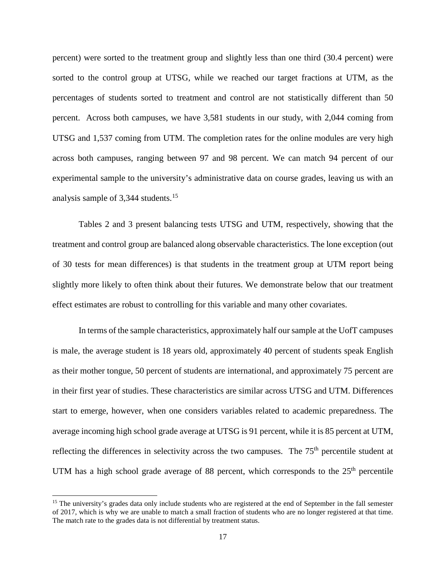percent) were sorted to the treatment group and slightly less than one third (30.4 percent) were sorted to the control group at UTSG, while we reached our target fractions at UTM, as the percentages of students sorted to treatment and control are not statistically different than 50 percent. Across both campuses, we have 3,581 students in our study, with 2,044 coming from UTSG and 1,537 coming from UTM. The completion rates for the online modules are very high across both campuses, ranging between 97 and 98 percent. We can match 94 percent of our experimental sample to the university's administrative data on course grades, leaving us with an analysis sample of 3,344 students.<sup>15</sup>

Tables 2 and 3 present balancing tests UTSG and UTM, respectively, showing that the treatment and control group are balanced along observable characteristics. The lone exception (out of 30 tests for mean differences) is that students in the treatment group at UTM report being slightly more likely to often think about their futures. We demonstrate below that our treatment effect estimates are robust to controlling for this variable and many other covariates.

In terms of the sample characteristics, approximately half our sample at the UofT campuses is male, the average student is 18 years old, approximately 40 percent of students speak English as their mother tongue, 50 percent of students are international, and approximately 75 percent are in their first year of studies. These characteristics are similar across UTSG and UTM. Differences start to emerge, however, when one considers variables related to academic preparedness. The average incoming high school grade average at UTSG is 91 percent, while it is 85 percent at UTM, reflecting the differences in selectivity across the two campuses. The 75<sup>th</sup> percentile student at UTM has a high school grade average of 88 percent, which corresponds to the  $25<sup>th</sup>$  percentile

<span id="page-18-0"></span><sup>&</sup>lt;sup>15</sup> The university's grades data only include students who are registered at the end of September in the fall semester of 2017, which is why we are unable to match a small fraction of students who are no longer registered at that time. The match rate to the grades data is not differential by treatment status.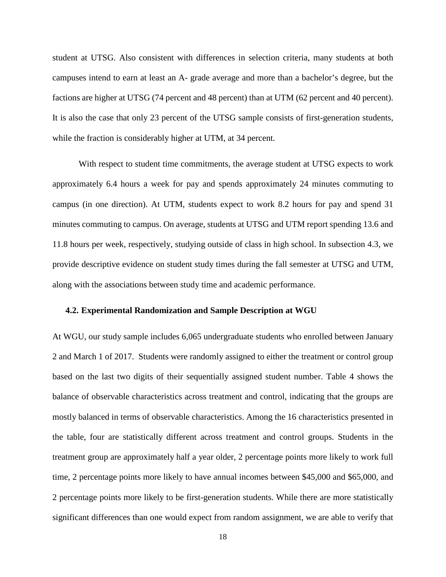student at UTSG. Also consistent with differences in selection criteria, many students at both campuses intend to earn at least an A- grade average and more than a bachelor's degree, but the factions are higher at UTSG (74 percent and 48 percent) than at UTM (62 percent and 40 percent). It is also the case that only 23 percent of the UTSG sample consists of first-generation students, while the fraction is considerably higher at UTM, at 34 percent.

With respect to student time commitments, the average student at UTSG expects to work approximately 6.4 hours a week for pay and spends approximately 24 minutes commuting to campus (in one direction). At UTM, students expect to work 8.2 hours for pay and spend 31 minutes commuting to campus. On average, students at UTSG and UTM report spending 13.6 and 11.8 hours per week, respectively, studying outside of class in high school. In subsection 4.3, we provide descriptive evidence on student study times during the fall semester at UTSG and UTM, along with the associations between study time and academic performance.

## **4.2. Experimental Randomization and Sample Description at WGU**

At WGU, our study sample includes 6,065 undergraduate students who enrolled between January 2 and March 1 of 2017. Students were randomly assigned to either the treatment or control group based on the last two digits of their sequentially assigned student number. Table 4 shows the balance of observable characteristics across treatment and control, indicating that the groups are mostly balanced in terms of observable characteristics. Among the 16 characteristics presented in the table, four are statistically different across treatment and control groups. Students in the treatment group are approximately half a year older, 2 percentage points more likely to work full time, 2 percentage points more likely to have annual incomes between \$45,000 and \$65,000, and 2 percentage points more likely to be first-generation students. While there are more statistically significant differences than one would expect from random assignment, we are able to verify that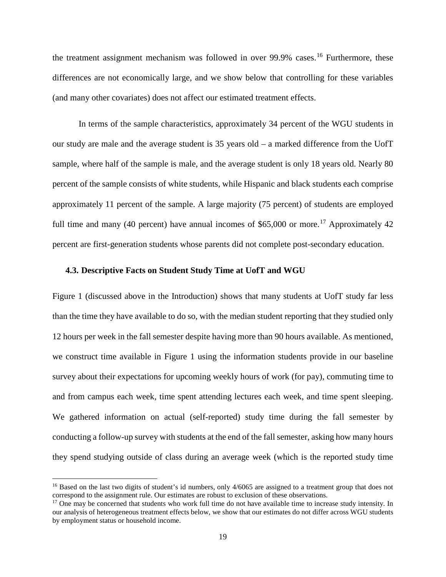the treatment assignment mechanism was followed in over 99.9% cases.<sup>[16](#page-20-0)</sup> Furthermore, these differences are not economically large, and we show below that controlling for these variables (and many other covariates) does not affect our estimated treatment effects.

In terms of the sample characteristics, approximately 34 percent of the WGU students in our study are male and the average student is 35 years old – a marked difference from the UofT sample, where half of the sample is male, and the average student is only 18 years old. Nearly 80 percent of the sample consists of white students, while Hispanic and black students each comprise approximately 11 percent of the sample. A large majority (75 percent) of students are employed full time and many (40 percent) have annual incomes of \$65,000 or more.<sup>17</sup> Approximately 42 percent are first-generation students whose parents did not complete post-secondary education.

## **4.3. Descriptive Facts on Student Study Time at UofT and WGU**

Figure 1 (discussed above in the Introduction) shows that many students at UofT study far less than the time they have available to do so, with the median student reporting that they studied only 12 hours per week in the fall semester despite having more than 90 hours available. As mentioned, we construct time available in Figure 1 using the information students provide in our baseline survey about their expectations for upcoming weekly hours of work (for pay), commuting time to and from campus each week, time spent attending lectures each week, and time spent sleeping. We gathered information on actual (self-reported) study time during the fall semester by conducting a follow-up survey with students at the end of the fall semester, asking how many hours they spend studying outside of class during an average week (which is the reported study time

 $\overline{\phantom{a}}$ 

<span id="page-20-0"></span><sup>&</sup>lt;sup>16</sup> Based on the last two digits of student's id numbers, only 4/6065 are assigned to a treatment group that does not correspond to the assignment rule. Our estimates are robust to exclusion of these observations.

<span id="page-20-1"></span><sup>&</sup>lt;sup>17</sup> One may be concerned that students who work full time do not have available time to increase study intensity. In our analysis of heterogeneous treatment effects below, we show that our estimates do not differ across WGU students by employment status or household income.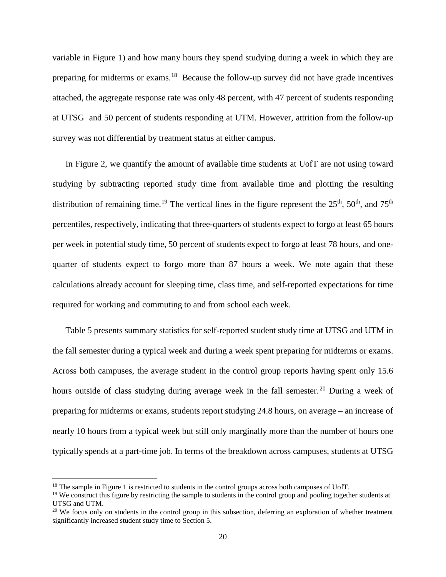variable in Figure 1) and how many hours they spend studying during a week in which they are preparing for midterms or exams.[18](#page-21-0) Because the follow-up survey did not have grade incentives attached, the aggregate response rate was only 48 percent, with 47 percent of students responding at UTSG and 50 percent of students responding at UTM. However, attrition from the follow-up survey was not differential by treatment status at either campus.

In Figure 2, we quantify the amount of available time students at UofT are not using toward studying by subtracting reported study time from available time and plotting the resulting distribution of remaining time.<sup>[19](#page-21-1)</sup> The vertical lines in the figure represent the  $25<sup>th</sup>$ ,  $50<sup>th</sup>$ , and  $75<sup>th</sup>$ percentiles, respectively, indicating that three-quarters of students expect to forgo at least 65 hours per week in potential study time, 50 percent of students expect to forgo at least 78 hours, and onequarter of students expect to forgo more than 87 hours a week. We note again that these calculations already account for sleeping time, class time, and self-reported expectations for time required for working and commuting to and from school each week.

Table 5 presents summary statistics for self-reported student study time at UTSG and UTM in the fall semester during a typical week and during a week spent preparing for midterms or exams. Across both campuses, the average student in the control group reports having spent only 15.6 hours outside of class studying during average week in the fall semester.<sup>[20](#page-21-2)</sup> During a week of preparing for midterms or exams, students report studying 24.8 hours, on average – an increase of nearly 10 hours from a typical week but still only marginally more than the number of hours one typically spends at a part-time job. In terms of the breakdown across campuses, students at UTSG

 $\overline{\phantom{a}}$ 

<span id="page-21-0"></span><sup>&</sup>lt;sup>18</sup> The sample in Figure 1 is restricted to students in the control groups across both campuses of UofT.

<span id="page-21-1"></span> $19$  We construct this figure by restricting the sample to students in the control group and pooling together students at UTSG and UTM.

<span id="page-21-2"></span> $20$  We focus only on students in the control group in this subsection, deferring an exploration of whether treatment significantly increased student study time to Section 5.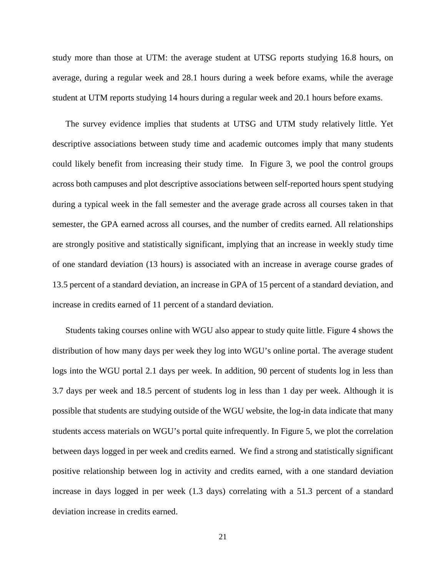study more than those at UTM: the average student at UTSG reports studying 16.8 hours, on average, during a regular week and 28.1 hours during a week before exams, while the average student at UTM reports studying 14 hours during a regular week and 20.1 hours before exams.

The survey evidence implies that students at UTSG and UTM study relatively little. Yet descriptive associations between study time and academic outcomes imply that many students could likely benefit from increasing their study time. In Figure 3, we pool the control groups across both campuses and plot descriptive associations between self-reported hours spent studying during a typical week in the fall semester and the average grade across all courses taken in that semester, the GPA earned across all courses, and the number of credits earned. All relationships are strongly positive and statistically significant, implying that an increase in weekly study time of one standard deviation (13 hours) is associated with an increase in average course grades of 13.5 percent of a standard deviation, an increase in GPA of 15 percent of a standard deviation, and increase in credits earned of 11 percent of a standard deviation.

Students taking courses online with WGU also appear to study quite little. Figure 4 shows the distribution of how many days per week they log into WGU's online portal. The average student logs into the WGU portal 2.1 days per week. In addition, 90 percent of students log in less than 3.7 days per week and 18.5 percent of students log in less than 1 day per week. Although it is possible that students are studying outside of the WGU website, the log-in data indicate that many students access materials on WGU's portal quite infrequently. In Figure 5, we plot the correlation between days logged in per week and credits earned. We find a strong and statistically significant positive relationship between log in activity and credits earned, with a one standard deviation increase in days logged in per week (1.3 days) correlating with a 51.3 percent of a standard deviation increase in credits earned.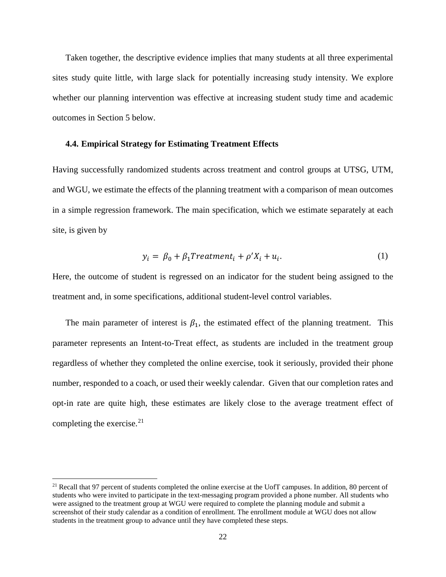Taken together, the descriptive evidence implies that many students at all three experimental sites study quite little, with large slack for potentially increasing study intensity. We explore whether our planning intervention was effective at increasing student study time and academic outcomes in Section 5 below.

## **4.4. Empirical Strategy for Estimating Treatment Effects**

Having successfully randomized students across treatment and control groups at UTSG, UTM, and WGU, we estimate the effects of the planning treatment with a comparison of mean outcomes in a simple regression framework. The main specification, which we estimate separately at each site, is given by

$$
y_i = \beta_0 + \beta_1 Treatment_i + \rho' X_i + u_i.
$$
 (1)

Here, the outcome of student is regressed on an indicator for the student being assigned to the treatment and, in some specifications, additional student-level control variables.

The main parameter of interest is  $\beta_1$ , the estimated effect of the planning treatment. This parameter represents an Intent-to-Treat effect, as students are included in the treatment group regardless of whether they completed the online exercise, took it seriously, provided their phone number, responded to a coach, or used their weekly calendar. Given that our completion rates and opt-in rate are quite high, these estimates are likely close to the average treatment effect of completing the exercise. [21](#page-23-0) 

 $\overline{\phantom{a}}$ 

<span id="page-23-0"></span><sup>&</sup>lt;sup>21</sup> Recall that 97 percent of students completed the online exercise at the UofT campuses. In addition, 80 percent of students who were invited to participate in the text-messaging program provided a phone number. All students who were assigned to the treatment group at WGU were required to complete the planning module and submit a screenshot of their study calendar as a condition of enrollment. The enrollment module at WGU does not allow students in the treatment group to advance until they have completed these steps.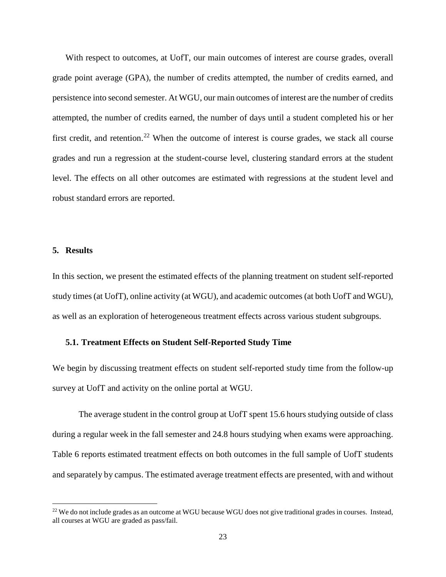With respect to outcomes, at UofT, our main outcomes of interest are course grades, overall grade point average (GPA), the number of credits attempted, the number of credits earned, and persistence into second semester. At WGU, our main outcomes of interest are the number of credits attempted, the number of credits earned, the number of days until a student completed his or her first credit, and retention.<sup>[22](#page-24-0)</sup> When the outcome of interest is course grades, we stack all course grades and run a regression at the student-course level, clustering standard errors at the student level. The effects on all other outcomes are estimated with regressions at the student level and robust standard errors are reported.

## **5. Results**

l

In this section, we present the estimated effects of the planning treatment on student self-reported study times (at UofT), online activity (at WGU), and academic outcomes (at both UofT and WGU), as well as an exploration of heterogeneous treatment effects across various student subgroups.

## **5.1. Treatment Effects on Student Self-Reported Study Time**

We begin by discussing treatment effects on student self-reported study time from the follow-up survey at UofT and activity on the online portal at WGU.

The average student in the control group at UofT spent 15.6 hours studying outside of class during a regular week in the fall semester and 24.8 hours studying when exams were approaching. Table 6 reports estimated treatment effects on both outcomes in the full sample of UofT students and separately by campus. The estimated average treatment effects are presented, with and without

<span id="page-24-0"></span><sup>&</sup>lt;sup>22</sup> We do not include grades as an outcome at WGU because WGU does not give traditional grades in courses. Instead, all courses at WGU are graded as pass/fail.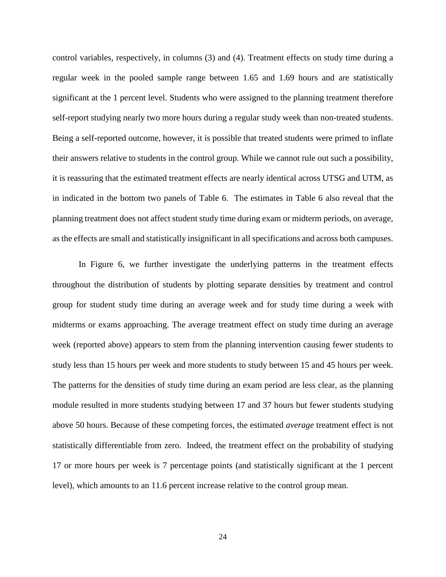control variables, respectively, in columns (3) and (4). Treatment effects on study time during a regular week in the pooled sample range between 1.65 and 1.69 hours and are statistically significant at the 1 percent level. Students who were assigned to the planning treatment therefore self-report studying nearly two more hours during a regular study week than non-treated students. Being a self-reported outcome, however, it is possible that treated students were primed to inflate their answers relative to students in the control group. While we cannot rule out such a possibility, it is reassuring that the estimated treatment effects are nearly identical across UTSG and UTM, as in indicated in the bottom two panels of Table 6. The estimates in Table 6 also reveal that the planning treatment does not affect student study time during exam or midterm periods, on average, as the effects are small and statistically insignificant in all specifications and across both campuses.

In Figure 6, we further investigate the underlying patterns in the treatment effects throughout the distribution of students by plotting separate densities by treatment and control group for student study time during an average week and for study time during a week with midterms or exams approaching. The average treatment effect on study time during an average week (reported above) appears to stem from the planning intervention causing fewer students to study less than 15 hours per week and more students to study between 15 and 45 hours per week. The patterns for the densities of study time during an exam period are less clear, as the planning module resulted in more students studying between 17 and 37 hours but fewer students studying above 50 hours. Because of these competing forces, the estimated *average* treatment effect is not statistically differentiable from zero. Indeed, the treatment effect on the probability of studying 17 or more hours per week is 7 percentage points (and statistically significant at the 1 percent level), which amounts to an 11.6 percent increase relative to the control group mean.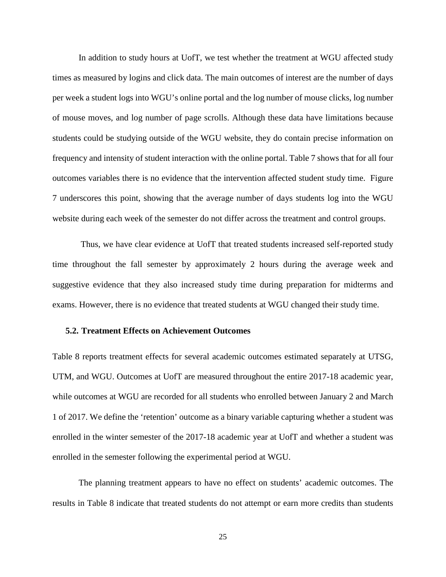In addition to study hours at UofT, we test whether the treatment at WGU affected study times as measured by logins and click data. The main outcomes of interest are the number of days per week a student logs into WGU's online portal and the log number of mouse clicks, log number of mouse moves, and log number of page scrolls. Although these data have limitations because students could be studying outside of the WGU website, they do contain precise information on frequency and intensity of student interaction with the online portal. Table 7 shows that for all four outcomes variables there is no evidence that the intervention affected student study time. Figure 7 underscores this point, showing that the average number of days students log into the WGU website during each week of the semester do not differ across the treatment and control groups.

Thus, we have clear evidence at UofT that treated students increased self-reported study time throughout the fall semester by approximately 2 hours during the average week and suggestive evidence that they also increased study time during preparation for midterms and exams. However, there is no evidence that treated students at WGU changed their study time.

## **5.2. Treatment Effects on Achievement Outcomes**

Table 8 reports treatment effects for several academic outcomes estimated separately at UTSG, UTM, and WGU. Outcomes at UofT are measured throughout the entire 2017-18 academic year, while outcomes at WGU are recorded for all students who enrolled between January 2 and March 1 of 2017. We define the 'retention' outcome as a binary variable capturing whether a student was enrolled in the winter semester of the 2017-18 academic year at UofT and whether a student was enrolled in the semester following the experimental period at WGU.

The planning treatment appears to have no effect on students' academic outcomes. The results in Table 8 indicate that treated students do not attempt or earn more credits than students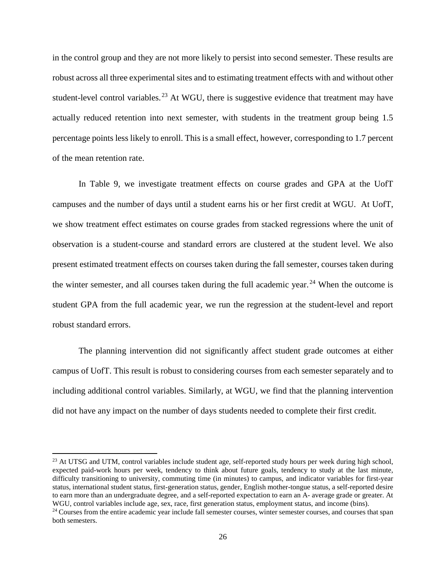in the control group and they are not more likely to persist into second semester. These results are robust across all three experimental sites and to estimating treatment effects with and without other student-level control variables.<sup>[23](#page-27-0)</sup> At WGU, there is suggestive evidence that treatment may have actually reduced retention into next semester, with students in the treatment group being 1.5 percentage points less likely to enroll. This is a small effect, however, corresponding to 1.7 percent of the mean retention rate.

In Table 9, we investigate treatment effects on course grades and GPA at the UofT campuses and the number of days until a student earns his or her first credit at WGU. At UofT, we show treatment effect estimates on course grades from stacked regressions where the unit of observation is a student-course and standard errors are clustered at the student level. We also present estimated treatment effects on courses taken during the fall semester, courses taken during the winter semester, and all courses taken during the full academic year.<sup>[24](#page-27-1)</sup> When the outcome is student GPA from the full academic year, we run the regression at the student-level and report robust standard errors.

The planning intervention did not significantly affect student grade outcomes at either campus of UofT. This result is robust to considering courses from each semester separately and to including additional control variables. Similarly, at WGU, we find that the planning intervention did not have any impact on the number of days students needed to complete their first credit.

<span id="page-27-0"></span> $^{23}$  At UTSG and UTM, control variables include student age, self-reported study hours per week during high school, expected paid-work hours per week, tendency to think about future goals, tendency to study at the last minute, difficulty transitioning to university, commuting time (in minutes) to campus, and indicator variables for first-year status, international student status, first-generation status, gender, English mother-tongue status, a self-reported desire to earn more than an undergraduate degree, and a self-reported expectation to earn an A- average grade or greater. At WGU, control variables include age, sex, race, first generation status, employment status, and income (bins).

<span id="page-27-1"></span><sup>&</sup>lt;sup>24</sup> Courses from the entire academic year include fall semester courses, winter semester courses, and courses that span both semesters.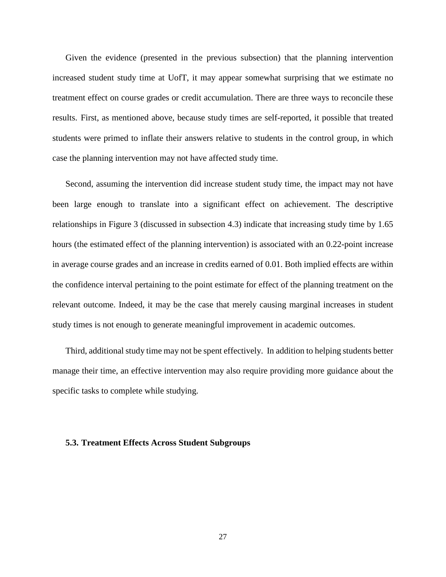Given the evidence (presented in the previous subsection) that the planning intervention increased student study time at UofT, it may appear somewhat surprising that we estimate no treatment effect on course grades or credit accumulation. There are three ways to reconcile these results. First, as mentioned above, because study times are self-reported, it possible that treated students were primed to inflate their answers relative to students in the control group, in which case the planning intervention may not have affected study time.

Second, assuming the intervention did increase student study time, the impact may not have been large enough to translate into a significant effect on achievement. The descriptive relationships in Figure 3 (discussed in subsection 4.3) indicate that increasing study time by 1.65 hours (the estimated effect of the planning intervention) is associated with an 0.22-point increase in average course grades and an increase in credits earned of 0.01. Both implied effects are within the confidence interval pertaining to the point estimate for effect of the planning treatment on the relevant outcome. Indeed, it may be the case that merely causing marginal increases in student study times is not enough to generate meaningful improvement in academic outcomes.

Third, additional study time may not be spent effectively. In addition to helping students better manage their time, an effective intervention may also require providing more guidance about the specific tasks to complete while studying.

## **5.3. Treatment Effects Across Student Subgroups**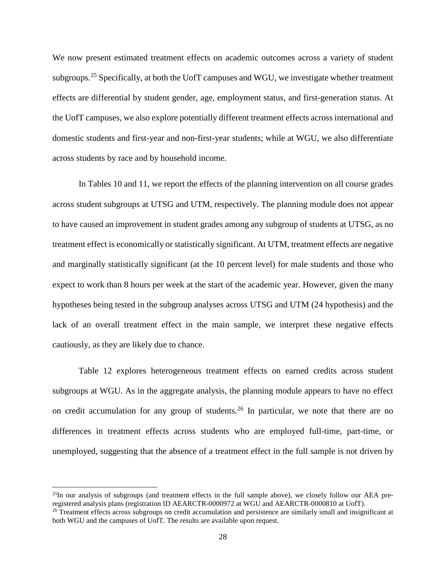We now present estimated treatment effects on academic outcomes across a variety of student subgroups.<sup>[25](#page-29-0)</sup> Specifically, at both the UofT campuses and WGU, we investigate whether treatment effects are differential by student gender, age, employment status, and first-generation status. At the UofT campuses, we also explore potentially different treatment effects across international and domestic students and first-year and non-first-year students; while at WGU, we also differentiate across students by race and by household income.

In Tables 10 and 11, we report the effects of the planning intervention on all course grades across student subgroups at UTSG and UTM, respectively. The planning module does not appear to have caused an improvement in student grades among any subgroup of students at UTSG, as no treatment effect is economically or statistically significant. At UTM, treatment effects are negative and marginally statistically significant (at the 10 percent level) for male students and those who expect to work than 8 hours per week at the start of the academic year. However, given the many hypotheses being tested in the subgroup analyses across UTSG and UTM (24 hypothesis) and the lack of an overall treatment effect in the main sample, we interpret these negative effects cautiously, as they are likely due to chance.

Table 12 explores heterogeneous treatment effects on earned credits across student subgroups at WGU. As in the aggregate analysis, the planning module appears to have no effect on credit accumulation for any group of students.<sup>[26](#page-29-1)</sup> In particular, we note that there are no differences in treatment effects across students who are employed full-time, part-time, or unemployed, suggesting that the absence of a treatment effect in the full sample is not driven by

<span id="page-29-0"></span> $^{25}$ In our analysis of subgroups (and treatment effects in the full sample above), we closely follow our AEA pre-<br>registered analysis plans (registration ID AEARCTR-0000972 at WGU and AEARCTR-0000810 at UofT).

<span id="page-29-1"></span><sup>&</sup>lt;sup>26</sup> Treatment effects across subgroups on credit accumulation and persistence are similarly small and insignificant at both WGU and the campuses of UofT. The results are available upon request.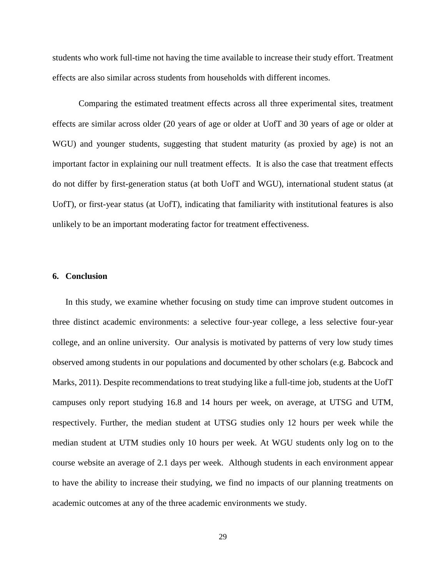students who work full-time not having the time available to increase their study effort. Treatment effects are also similar across students from households with different incomes.

Comparing the estimated treatment effects across all three experimental sites, treatment effects are similar across older (20 years of age or older at UofT and 30 years of age or older at WGU) and younger students, suggesting that student maturity (as proxied by age) is not an important factor in explaining our null treatment effects. It is also the case that treatment effects do not differ by first-generation status (at both UofT and WGU), international student status (at UofT), or first-year status (at UofT), indicating that familiarity with institutional features is also unlikely to be an important moderating factor for treatment effectiveness.

## **6. Conclusion**

In this study, we examine whether focusing on study time can improve student outcomes in three distinct academic environments: a selective four-year college, a less selective four-year college, and an online university. Our analysis is motivated by patterns of very low study times observed among students in our populations and documented by other scholars (e.g. Babcock and Marks, 2011). Despite recommendations to treat studying like a full-time job, students at the UofT campuses only report studying 16.8 and 14 hours per week, on average, at UTSG and UTM, respectively. Further, the median student at UTSG studies only 12 hours per week while the median student at UTM studies only 10 hours per week. At WGU students only log on to the course website an average of 2.1 days per week. Although students in each environment appear to have the ability to increase their studying, we find no impacts of our planning treatments on academic outcomes at any of the three academic environments we study.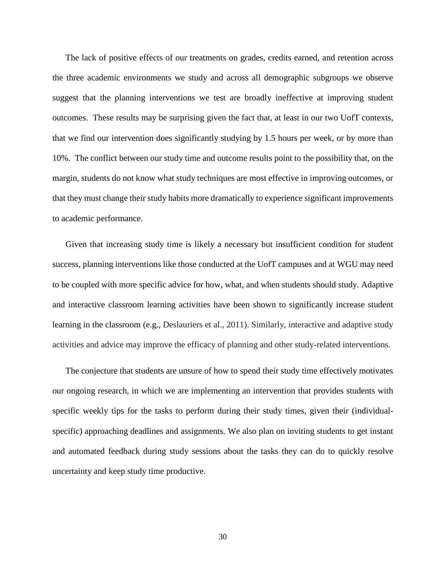The lack of positive effects of our treatments on grades, credits earned, and retention across the three academic environments we study and across all demographic subgroups we observe suggest that the planning interventions we test are broadly ineffective at improving student outcomes. These results may be surprising given the fact that, at least in our two UofT contexts, that we find our intervention does significantly studying by 1.5 hours per week, or by more than 10%. The conflict between our study time and outcome results point to the possibility that, on the margin, students do not know what study techniques are most effective in improving outcomes, or that they must change their study habits more dramatically to experience significant improvements to academic performance.

Given that increasing study time is likely a necessary but insufficient condition for student success, planning interventions like those conducted at the UofT campuses and at WGU may need to be coupled with more specific advice for how, what, and when students should study. Adaptive and interactive classroom learning activities have been shown to significantly increase student learning in the classroom (e.g., Deslauriers et al., 2011). Similarly, interactive and adaptive study activities and advice may improve the efficacy of planning and other study-related interventions.

The conjecture that students are unsure of how to spend their study time effectively motivates our ongoing research, in which we are implementing an intervention that provides students with specific weekly tips for the tasks to perform during their study times, given their (individualspecific) approaching deadlines and assignments. We also plan on inviting students to get instant and automated feedback during study sessions about the tasks they can do to quickly resolve uncertainty and keep study time productive.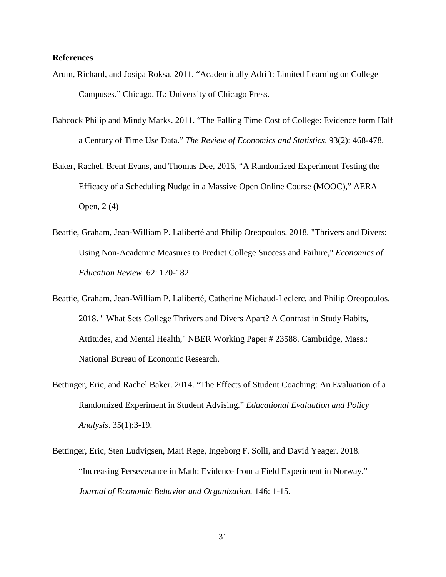## **References**

- Arum, Richard, and Josipa Roksa. 2011. "Academically Adrift: Limited Learning on College Campuses." Chicago, IL: University of Chicago Press.
- Babcock Philip and Mindy Marks. 2011. "The Falling Time Cost of College: Evidence form Half a Century of Time Use Data." *The Review of Economics and Statistics*. 93(2): 468-478.
- Baker, Rachel, Brent Evans, and Thomas Dee, 2016, "A Randomized Experiment Testing the Efficacy of a Scheduling Nudge in a Massive Open Online Course (MOOC)," AERA Open, 2 (4)
- Beattie, Graham, Jean-William P. Laliberté and Philip Oreopoulos. 2018. "Thrivers and Divers: Using Non-Academic Measures to Predict College Success and Failure," *Economics of Education Review*. 62: 170-182
- Beattie, Graham, Jean-William P. Laliberté, Catherine Michaud-Leclerc, and Philip Oreopoulos. 2018. " What Sets College Thrivers and Divers Apart? A Contrast in Study Habits, Attitudes, and Mental Health," NBER Working Paper # 23588. Cambridge, Mass.: National Bureau of Economic Research.
- Bettinger, Eric, and Rachel Baker. 2014. "The Effects of Student Coaching: An Evaluation of a Randomized Experiment in Student Advising." *Educational Evaluation and Policy Analysis*. 35(1):3-19.
- Bettinger, Eric, Sten Ludvigsen, Mari Rege, Ingeborg F. Solli, and David Yeager. 2018. "Increasing Perseverance in Math: Evidence from a Field Experiment in Norway." *Journal of Economic Behavior and Organization.* 146: 1-15.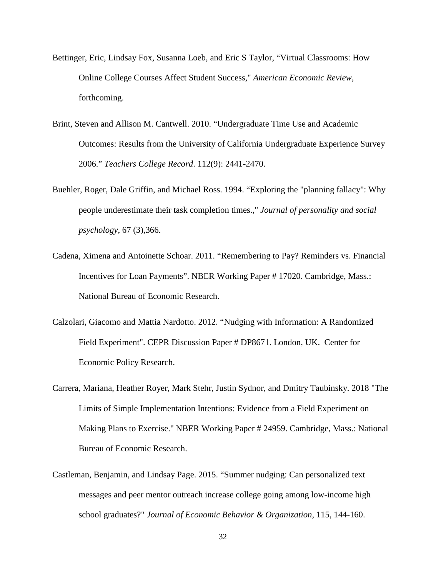- Bettinger, Eric, Lindsay Fox, Susanna Loeb, and Eric S Taylor, "Virtual Classrooms: How Online College Courses Affect Student Success," *American Economic Review*, forthcoming.
- Brint, Steven and Allison M. Cantwell. 2010. "Undergraduate Time Use and Academic Outcomes: Results from the University of California Undergraduate Experience Survey 2006." *Teachers College Record*. 112(9): 2441-2470.
- Buehler, Roger, Dale Griffin, and Michael Ross. 1994. "Exploring the "planning fallacy": Why people underestimate their task completion times.," *Journal of personality and social psychology*, 67 (3),366.
- Cadena, Ximena and Antoinette Schoar. 2011. "Remembering to Pay? Reminders vs. Financial Incentives for Loan Payments". NBER Working Paper # 17020. Cambridge, Mass.: National Bureau of Economic Research.
- Calzolari, Giacomo and Mattia Nardotto. 2012. "Nudging with Information: A Randomized Field Experiment". CEPR Discussion Paper # DP8671. London, UK. Center for Economic Policy Research.
- Carrera, Mariana, Heather Royer, Mark Stehr, Justin Sydnor, and Dmitry Taubinsky. 2018 "The Limits of Simple Implementation Intentions: Evidence from a Field Experiment on Making Plans to Exercise." NBER Working Paper # 24959. Cambridge, Mass.: National Bureau of Economic Research.
- Castleman, Benjamin, and Lindsay Page. 2015. "Summer nudging: Can personalized text messages and peer mentor outreach increase college going among low-income high school graduates?" *Journal of Economic Behavior & Organization*, 115, 144-160.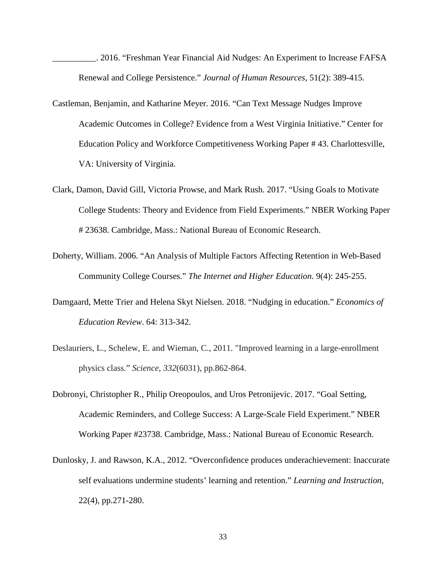\_\_\_\_\_\_\_\_\_\_. 2016. "Freshman Year Financial Aid Nudges: An Experiment to Increase FAFSA Renewal and College Persistence." *Journal of Human Resources*, 51(2): 389-415.

- Castleman, Benjamin, and Katharine Meyer. 2016. "Can Text Message Nudges Improve Academic Outcomes in College? Evidence from a West Virginia Initiative." Center for Education Policy and Workforce Competitiveness Working Paper # 43. Charlottesville, VA: University of Virginia.
- Clark, Damon, David Gill, Victoria Prowse, and Mark Rush. 2017. "Using Goals to Motivate College Students: Theory and Evidence from Field Experiments." NBER Working Paper # 23638. Cambridge, Mass.: National Bureau of Economic Research.
- Doherty, William. 2006. "An Analysis of Multiple Factors Affecting Retention in Web-Based Community College Courses." *The Internet and Higher Education*. 9(4): 245-255.
- Damgaard, Mette Trier and Helena Skyt Nielsen. 2018. "Nudging in education." *Economics of Education Review*. 64: 313-342.
- Deslauriers, L., Schelew, E. and Wieman, C., 2011. "Improved learning in a large-enrollment physics class." *Science*, *332*(6031), pp.862-864.
- Dobronyi, Christopher R., Philip Oreopoulos, and Uros Petronijevic. 2017. "Goal Setting, Academic Reminders, and College Success: A Large-Scale Field Experiment." NBER Working Paper #23738. Cambridge, Mass.: National Bureau of Economic Research.
- Dunlosky, J. and Rawson, K.A., 2012. "Overconfidence produces underachievement: Inaccurate self evaluations undermine students' learning and retention." *Learning and Instruction*, 22(4), pp.271-280.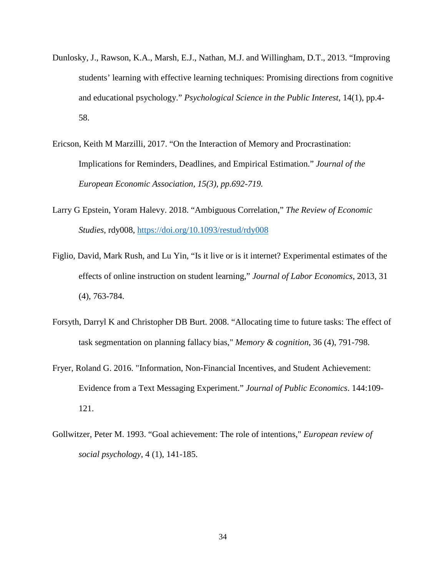- Dunlosky, J., Rawson, K.A., Marsh, E.J., Nathan, M.J. and Willingham, D.T., 2013. "Improving students' learning with effective learning techniques: Promising directions from cognitive and educational psychology." *Psychological Science in the Public Interest*, 14(1), pp.4- 58.
- Ericson, Keith M Marzilli, 2017. "On the Interaction of Memory and Procrastination: Implications for Reminders, Deadlines, and Empirical Estimation." *Journal of the European Economic Association, 15(3), pp.692-719.*
- Larry G Epstein, Yoram Halevy. 2018. "Ambiguous Correlation," *The Review of Economic Studies*, rdy008,<https://doi.org/10.1093/restud/rdy008>
- Figlio, David, Mark Rush, and Lu Yin, "Is it live or is it internet? Experimental estimates of the effects of online instruction on student learning," *Journal of Labor Economics*, 2013, 31 (4), 763-784.
- Forsyth, Darryl K and Christopher DB Burt. 2008. "Allocating time to future tasks: The effect of task segmentation on planning fallacy bias," *Memory & cognition*, 36 (4), 791-798.
- Fryer, Roland G. 2016. "Information, Non-Financial Incentives, and Student Achievement: Evidence from a Text Messaging Experiment." *Journal of Public Economics*. 144:109- 121.
- Gollwitzer, Peter M. 1993. "Goal achievement: The role of intentions," *European review of social psychology*, 4 (1), 141-185.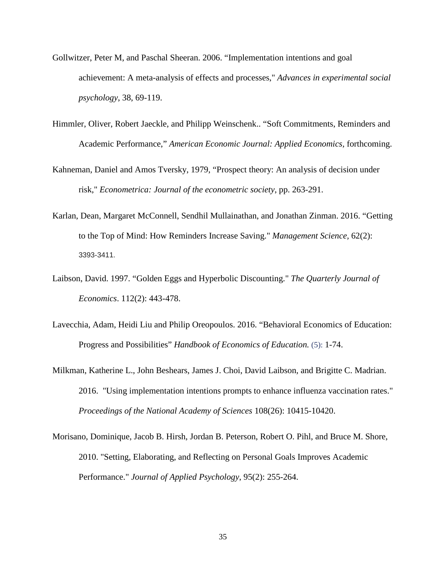- Gollwitzer, Peter M, and Paschal Sheeran. 2006. "Implementation intentions and goal achievement: A meta-analysis of effects and processes," *Advances in experimental social psychology*, 38, 69-119.
- Himmler, Oliver, Robert Jaeckle, and Philipp Weinschenk.. "Soft Commitments, Reminders and Academic Performance," *American Economic Journal: Applied Economics,* forthcoming.
- Kahneman, Daniel and Amos Tversky, 1979, "Prospect theory: An analysis of decision under risk," *Econometrica: Journal of the econometric society*, pp. 263-291.
- Karlan, Dean, Margaret McConnell, Sendhil Mullainathan, and Jonathan Zinman. 2016. "Getting to the Top of Mind: How Reminders Increase Saving." *Management Science,* 62(2): 3393-3411.
- Laibson, David. 1997. "Golden Eggs and Hyperbolic Discounting." *The Quarterly Journal of Economics*. 112(2): 443-478.
- Lavecchia, Adam, Heidi Liu and Philip Oreopoulos. 2016. "Behavioral Economics of Education: Progress and Possibilities" *Handbook of Economics of Education.* (5): 1-74.
- Milkman, Katherine L., John Beshears, James J. Choi, David Laibson, and Brigitte C. Madrian. 2016. "Using implementation intentions prompts to enhance influenza vaccination rates." *Proceedings of the National Academy of Sciences* 108(26): 10415-10420.
- Morisano, Dominique, Jacob B. Hirsh, Jordan B. Peterson, Robert O. Pihl, and Bruce M. Shore, 2010. "Setting, Elaborating, and Reflecting on Personal Goals Improves Academic Performance." *Journal of Applied Psychology*, 95(2): 255-264.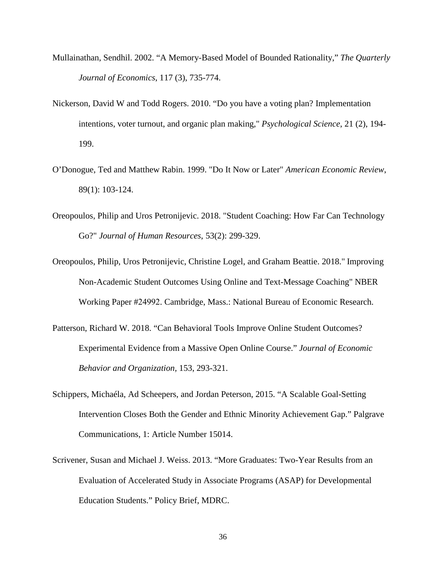- Mullainathan, Sendhil. 2002. "A Memory-Based Model of Bounded Rationality," *The Quarterly Journal of Economics*, 117 (3), 735-774.
- Nickerson, David W and Todd Rogers. 2010. "Do you have a voting plan? Implementation intentions, voter turnout, and organic plan making," *Psychological Science*, 21 (2), 194- 199.
- O'Donogue, Ted and Matthew Rabin. 1999. "Do It Now or Later" *American Economic Review*, 89(1): 103-124.
- Oreopoulos, Philip and Uros Petronijevic. 2018. "Student Coaching: How Far Can Technology Go?" *Journal of Human Resources*, 53(2): 299-329.
- Oreopoulos, Philip, Uros Petronijevic, Christine Logel, and Graham Beattie. 2018." Improving Non-Academic Student Outcomes Using Online and Text-Message Coaching" NBER Working Paper #24992. Cambridge, Mass.: National Bureau of Economic Research.
- Patterson, Richard W. 2018. "Can Behavioral Tools Improve Online Student Outcomes? Experimental Evidence from a Massive Open Online Course." *Journal of Economic Behavior and Organization,* 153, 293-321.
- Schippers, Michaéla, Ad Scheepers, and Jordan Peterson, 2015. "A Scalable Goal-Setting Intervention Closes Both the Gender and Ethnic Minority Achievement Gap." Palgrave Communications, 1: Article Number 15014.
- Scrivener, Susan and Michael J. Weiss. 2013. "More Graduates: Two-Year Results from an Evaluation of Accelerated Study in Associate Programs (ASAP) for Developmental Education Students." Policy Brief, MDRC.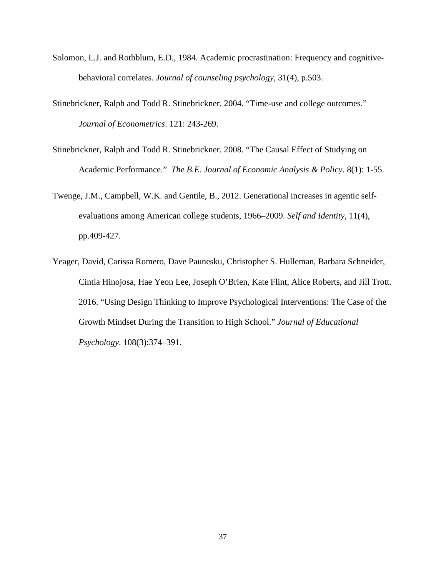- Solomon, L.J. and Rothblum, E.D., 1984. Academic procrastination: Frequency and cognitivebehavioral correlates. *Journal of counseling psychology*, 31(4), p.503.
- Stinebrickner, Ralph and Todd R. Stinebrickner. 2004. "Time-use and college outcomes." *Journal of Econometrics*. 121: 243-269.
- Stinebrickner, Ralph and Todd R. Stinebrickner. 2008. "The Causal Effect of Studying on Academic Performance." *The B.E. Journal of Economic Analysis & Policy*. 8(1): 1-55.
- Twenge, J.M., Campbell, W.K. and Gentile, B., 2012. Generational increases in agentic selfevaluations among American college students, 1966–2009. *Self and Identity*, 11(4), pp.409-427.
- Yeager, David, Carissa Romero, Dave Paunesku, Christopher S. Hulleman, Barbara Schneider, Cintia Hinojosa, Hae Yeon Lee, Joseph O'Brien, Kate Flint, Alice Roberts, and Jill Trott. 2016. "Using Design Thinking to Improve Psychological Interventions: The Case of the Growth Mindset During the Transition to High School." *Journal of Educational Psychology*. 108(3):374–391.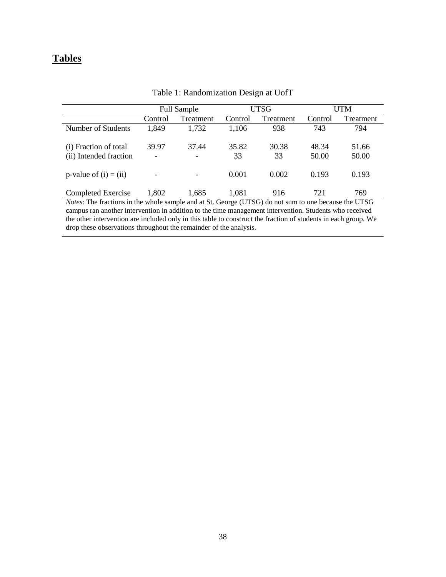## **Tables**

|                                                 |            | <b>Full Sample</b>                   |             | UTSG                                                                                                                                                                                                                                                                                                                                                               |                     | UTM                    |
|-------------------------------------------------|------------|--------------------------------------|-------------|--------------------------------------------------------------------------------------------------------------------------------------------------------------------------------------------------------------------------------------------------------------------------------------------------------------------------------------------------------------------|---------------------|------------------------|
|                                                 | Control    | Treatment                            | Control     | Treatment                                                                                                                                                                                                                                                                                                                                                          | Control             | Treatment              |
| Number of Students                              | 1,849      | 1,732                                | 1,106       | 938                                                                                                                                                                                                                                                                                                                                                                | 743                 | 794                    |
| (i) Fraction of total<br>(ii) Intended fraction | 39.97<br>- | 37.44<br>$\overline{\phantom{0}}$    | 35.82<br>33 | 30.38<br>33                                                                                                                                                                                                                                                                                                                                                        | 48.34<br>50.00      | 51.66<br>50.00         |
| p-value of $(i) = (ii)$                         |            |                                      | 0.001       | 0.002                                                                                                                                                                                                                                                                                                                                                              | 0.193               | 0.193                  |
| Completed Exercise<br>$\sim$ $\sim$             | 1,802      | 1,685<br>$\sim$ $\sim$ $\sim$ $\sim$ | 1,081       | 916<br>$\mathcal{L}$ $\mathcal{L}$ $\mathcal{L}$ $\mathcal{L}$ $\mathcal{L}$ $\mathcal{L}$ $\mathcal{L}$ $\mathcal{L}$ $\mathcal{L}$ $\mathcal{L}$ $\mathcal{L}$ $\mathcal{L}$ $\mathcal{L}$ $\mathcal{L}$ $\mathcal{L}$ $\mathcal{L}$ $\mathcal{L}$ $\mathcal{L}$ $\mathcal{L}$ $\mathcal{L}$ $\mathcal{L}$ $\mathcal{L}$ $\mathcal{L}$ $\mathcal{L}$ $\mathcal{$ | 721<br>$\mathbf{I}$ | 769<br>T T T T T T T T |

Table 1: Randomization Design at UofT

*Notes*: The fractions in the whole sample and at St. George (UTSG) do not sum to one because the UTSG campus ran another intervention in addition to the time management intervention. Students who received the other intervention are included only in this table to construct the fraction of students in each group. We drop these observations throughout the remainder of the analysis.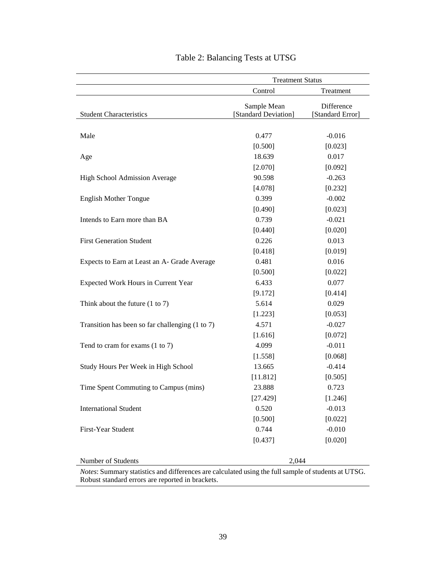|                                                                                                    | <b>Treatment Status</b>             |                                |  |
|----------------------------------------------------------------------------------------------------|-------------------------------------|--------------------------------|--|
|                                                                                                    | Control                             | Treatment                      |  |
| <b>Student Characteristics</b>                                                                     | Sample Mean<br>[Standard Deviation] | Difference<br>[Standard Error] |  |
|                                                                                                    |                                     |                                |  |
| Male                                                                                               | 0.477                               | $-0.016$                       |  |
|                                                                                                    | [0.500]                             | [0.023]                        |  |
| Age                                                                                                | 18.639                              | 0.017                          |  |
|                                                                                                    | [2.070]                             | [0.092]                        |  |
| High School Admission Average                                                                      | 90.598                              | $-0.263$                       |  |
|                                                                                                    | [4.078]                             | [0.232]                        |  |
| <b>English Mother Tongue</b>                                                                       | 0.399                               | $-0.002$                       |  |
|                                                                                                    | [0.490]                             | [0.023]                        |  |
| Intends to Earn more than BA                                                                       | 0.739                               | $-0.021$                       |  |
|                                                                                                    | [0.440]                             | [0.020]                        |  |
| <b>First Generation Student</b>                                                                    | 0.226                               | 0.013                          |  |
|                                                                                                    | [0.418]                             | [0.019]                        |  |
| Expects to Earn at Least an A- Grade Average                                                       | 0.481                               | 0.016                          |  |
|                                                                                                    | [0.500]                             | [0.022]                        |  |
| Expected Work Hours in Current Year                                                                | 6.433                               | 0.077                          |  |
|                                                                                                    | [9.172]                             | [0.414]                        |  |
| Think about the future $(1 to 7)$                                                                  | 5.614                               | 0.029                          |  |
|                                                                                                    | [1.223]                             | [0.053]                        |  |
| Transition has been so far challenging (1 to 7)                                                    | 4.571                               | $-0.027$                       |  |
|                                                                                                    | [1.616]                             | [0.072]                        |  |
| Tend to cram for exams (1 to 7)                                                                    | 4.099                               | $-0.011$                       |  |
|                                                                                                    | [1.558]                             | [0.068]                        |  |
| Study Hours Per Week in High School                                                                | 13.665                              | $-0.414$                       |  |
|                                                                                                    | [11.812]                            | [0.505]                        |  |
| Time Spent Commuting to Campus (mins)                                                              | 23.888                              | 0.723                          |  |
|                                                                                                    | [27.429]                            | [1.246]                        |  |
| <b>International Student</b>                                                                       | 0.520                               | $-0.013$                       |  |
|                                                                                                    | [0.500]                             | [0.022]                        |  |
| First-Year Student                                                                                 | 0.744                               | $-0.010$                       |  |
|                                                                                                    | [0.437]                             | [0.020]                        |  |
| Number of Students                                                                                 | 2,044                               |                                |  |
| Notes: Summary statistics and differences are calculated using the full sample of students at UTSG |                                     |                                |  |

# Table 2: Balancing Tests at UTSG

*Notes*: Summary statistics and differences are calculated using the full sample of students at UTSG. Robust standard errors are reported in brackets.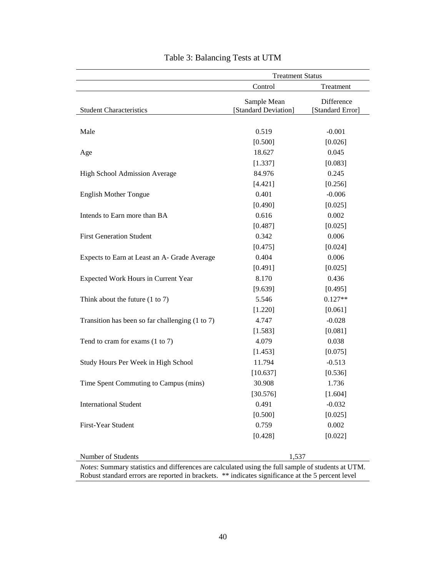|                                                 | <b>Treatment Status</b>             |                                |  |
|-------------------------------------------------|-------------------------------------|--------------------------------|--|
|                                                 | Control                             | Treatment                      |  |
| <b>Student Characteristics</b>                  | Sample Mean<br>[Standard Deviation] | Difference<br>[Standard Error] |  |
| Male                                            | 0.519                               | $-0.001$                       |  |
|                                                 | [0.500]                             | [0.026]                        |  |
| Age                                             | 18.627                              | 0.045                          |  |
|                                                 | [1.337]                             | [0.083]                        |  |
| High School Admission Average                   | 84.976                              | 0.245                          |  |
|                                                 | [4.421]                             | [0.256]                        |  |
| <b>English Mother Tongue</b>                    | 0.401                               | $-0.006$                       |  |
|                                                 | [0.490]                             | [0.025]                        |  |
| Intends to Earn more than BA                    | 0.616                               | 0.002                          |  |
|                                                 | [0.487]                             | [0.025]                        |  |
| <b>First Generation Student</b>                 | 0.342                               | 0.006                          |  |
|                                                 | [0.475]                             | [0.024]                        |  |
| Expects to Earn at Least an A- Grade Average    | 0.404                               | 0.006                          |  |
|                                                 | [0.491]                             | [0.025]                        |  |
| Expected Work Hours in Current Year             | 8.170                               | 0.436                          |  |
|                                                 | [9.639]                             | [0.495]                        |  |
| Think about the future $(1 to 7)$               | 5.546                               | $0.127**$                      |  |
|                                                 | [1.220]                             | [0.061]                        |  |
| Transition has been so far challenging (1 to 7) | 4.747                               | $-0.028$                       |  |
|                                                 | [1.583]                             | [0.081]                        |  |
| Tend to cram for exams (1 to 7)                 | 4.079                               | 0.038                          |  |
|                                                 | [1.453]                             | [0.075]                        |  |
| Study Hours Per Week in High School             | 11.794                              | $-0.513$                       |  |
|                                                 | [10.637]                            | [0.536]                        |  |
| Time Spent Commuting to Campus (mins)           | 30.908                              | 1.736                          |  |
|                                                 | [30.576]                            | [1.604]                        |  |
| <b>International Student</b>                    | 0.491                               | $-0.032$                       |  |
|                                                 | [0.500]                             | [0.025]                        |  |
| First-Year Student                              | 0.759                               | 0.002                          |  |
|                                                 | [0.428]                             | [0.022]                        |  |
| Number of Students                              | 1,537                               |                                |  |

| Table 3: Balancing Tests at UTM |  |  |  |
|---------------------------------|--|--|--|
|---------------------------------|--|--|--|

*Notes*: Summary statistics and differences are calculated using the full sample of students at UTM. Robust standard errors are reported in brackets. \*\* indicates significance at the 5 percent level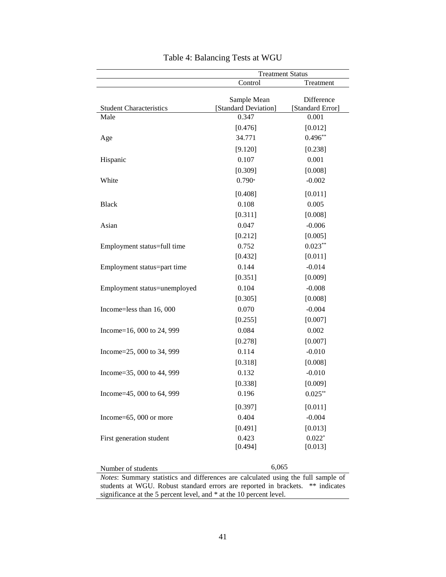|                                                                                                         | <b>Treatment Status</b>             |                                |  |
|---------------------------------------------------------------------------------------------------------|-------------------------------------|--------------------------------|--|
|                                                                                                         | Control                             | Treatment                      |  |
| <b>Student Characteristics</b>                                                                          | Sample Mean<br>[Standard Deviation] | Difference<br>[Standard Error] |  |
| Male                                                                                                    | 0.347                               | 0.001                          |  |
|                                                                                                         | [0.476]                             | [0.012]                        |  |
| Age                                                                                                     | 34.771                              | $0.496**$                      |  |
|                                                                                                         | [9.120]                             | [0.238]                        |  |
| Hispanic                                                                                                | 0.107                               | 0.001                          |  |
|                                                                                                         | [0.309]                             | [0.008]                        |  |
| White                                                                                                   | $0.790*$                            | $-0.002$                       |  |
|                                                                                                         | [0.408]                             | [0.011]                        |  |
| <b>Black</b>                                                                                            | 0.108                               | 0.005                          |  |
|                                                                                                         | [0.311]                             | [0.008]                        |  |
| Asian                                                                                                   | 0.047                               | $-0.006$                       |  |
|                                                                                                         | [0.212]                             | [0.005]                        |  |
| Employment status=full time                                                                             | 0.752                               | $0.023***$                     |  |
|                                                                                                         | [0.432]                             | [0.011]                        |  |
| Employment status=part time                                                                             | 0.144                               | $-0.014$                       |  |
|                                                                                                         | [0.351]                             | [0.009]                        |  |
| Employment status=unemployed                                                                            | 0.104                               | $-0.008$                       |  |
|                                                                                                         | [0.305]                             | [0.008]                        |  |
| Income=less than 16, 000                                                                                | 0.070                               | $-0.004$                       |  |
|                                                                                                         | [0.255]                             | [0.007]                        |  |
| Income=16, 000 to 24, 999                                                                               | 0.084                               | 0.002                          |  |
|                                                                                                         | [0.278]                             | [0.007]                        |  |
| Income=25, 000 to 34, 999                                                                               | 0.114                               | $-0.010$                       |  |
|                                                                                                         | [0.318]                             | [0.008]                        |  |
| Income=35, 000 to 44, 999                                                                               | 0.132                               | $-0.010$                       |  |
|                                                                                                         | [0.338]                             | [0.009]                        |  |
| Income=45, 000 to 64, 999                                                                               | 0.196                               | $0.025**$                      |  |
|                                                                                                         | [0.397]                             | [0.011]                        |  |
| Income=65, 000 or more                                                                                  | 0.404                               | $-0.004$                       |  |
|                                                                                                         | [0.491]                             | [0.013]                        |  |
| First generation student                                                                                | 0.423                               | $0.022*$                       |  |
|                                                                                                         | [0.494]                             | [0.013]                        |  |
|                                                                                                         |                                     |                                |  |
| Number of students<br>Notes: Summary statistics and differences are calculated using the full sample of | 6,065                               |                                |  |

Table 4: Balancing Tests at WGU

students at WGU. Robust standard errors are reported in brackets. \*\* indicates significance at the 5 percent level, and \* at the 10 percent level.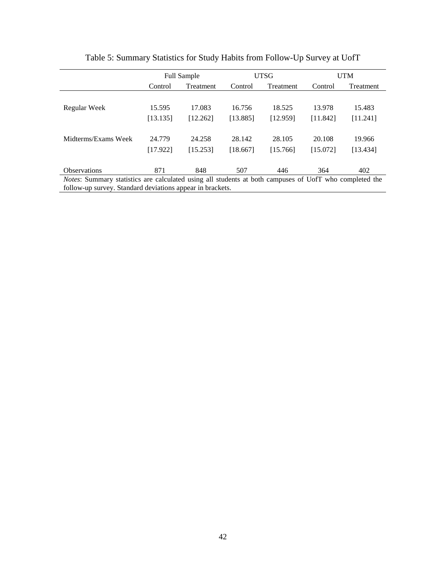|                                                                                                               |          | <b>UTSG</b><br>UTM<br><b>Full Sample</b> |          |           |          |           |
|---------------------------------------------------------------------------------------------------------------|----------|------------------------------------------|----------|-----------|----------|-----------|
|                                                                                                               | Control  | Treatment                                | Control  | Treatment | Control  | Treatment |
|                                                                                                               |          |                                          |          |           |          |           |
| Regular Week                                                                                                  | 15.595   | 17.083                                   | 16.756   | 18.525    | 13.978   | 15.483    |
|                                                                                                               | [13.135] | [12.262]                                 | [13.885] | [12.959]  | [11.842] | [11.241]  |
|                                                                                                               |          |                                          |          |           |          |           |
| Midterms/Exams Week                                                                                           | 24.779   | 24.258                                   | 28.142   | 28.105    | 20.108   | 19.966    |
|                                                                                                               | [17.922] | [15.253]                                 | [18.667] | [15.766]  | [15.072] | [13.434]  |
|                                                                                                               |          |                                          |          |           |          |           |
| <b>Observations</b>                                                                                           | 871      | 848                                      | 507      | 446       | 364      | 402       |
| <i>Notes:</i> Summary statistics are calculated using all students at both campuses of UofT who completed the |          |                                          |          |           |          |           |
| follow-up survey. Standard deviations appear in brackets.                                                     |          |                                          |          |           |          |           |

Table 5: Summary Statistics for Study Habits from Follow-Up Survey at UofT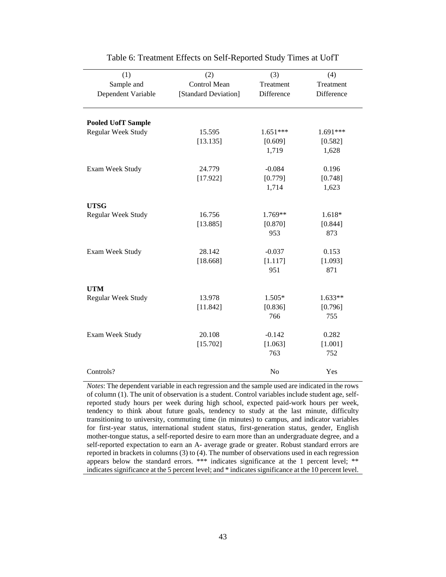| (1)                       | (2)                  | (3)        | (4)        |
|---------------------------|----------------------|------------|------------|
| Sample and                | Control Mean         | Treatment  | Treatment  |
| Dependent Variable        | [Standard Deviation] | Difference | Difference |
|                           |                      |            |            |
|                           |                      |            |            |
| <b>Pooled UofT Sample</b> |                      |            |            |
| Regular Week Study        | 15.595               | $1.651***$ | 1.691***   |
|                           | [13.135]             | [0.609]    | [0.582]    |
|                           |                      | 1,719      | 1,628      |
| Exam Week Study           | 24.779               | $-0.084$   | 0.196      |
|                           | [17.922]             | [0.779]    | [0.748]    |
|                           |                      | 1,714      | 1,623      |
|                           |                      |            |            |
| <b>UTSG</b>               |                      |            |            |
| Regular Week Study        | 16.756               | 1.769**    | 1.618*     |
|                           | [13.885]             | [0.870]    | [0.844]    |
|                           |                      | 953        | 873        |
|                           |                      |            |            |
| Exam Week Study           | 28.142               | $-0.037$   | 0.153      |
|                           | [18.668]             | [1.117]    | [1.093]    |
|                           |                      | 951        | 871        |
|                           |                      |            |            |
| <b>UTM</b>                |                      |            |            |
| <b>Regular Week Study</b> | 13.978               | 1.505*     | 1.633**    |
|                           | [11.842]             | [0.836]    | [0.796]    |
|                           |                      | 766        | 755        |
| Exam Week Study           | 20.108               | $-0.142$   | 0.282      |
|                           | [15.702]             | [1.063]    | [1.001]    |
|                           |                      | 763        | 752        |
|                           |                      |            |            |
| Controls?                 |                      | No         | Yes        |

| Table 6: Treatment Effects on Self-Reported Study Times at UofT |  |  |  |
|-----------------------------------------------------------------|--|--|--|
|                                                                 |  |  |  |

*Notes*: The dependent variable in each regression and the sample used are indicated in the rows of column (1). The unit of observation is a student. Control variables include student age, selfreported study hours per week during high school, expected paid-work hours per week, tendency to think about future goals, tendency to study at the last minute, difficulty transitioning to university, commuting time (in minutes) to campus, and indicator variables for first-year status, international student status, first-generation status, gender, English mother-tongue status, a self-reported desire to earn more than an undergraduate degree, and a self-reported expectation to earn an A- average grade or greater. Robust standard errors are reported in brackets in columns (3) to (4). The number of observations used in each regression appears below the standard errors. \*\*\* indicates significance at the 1 percent level; \*\* indicates significance at the 5 percent level; and \* indicates significance at the 10 percent level.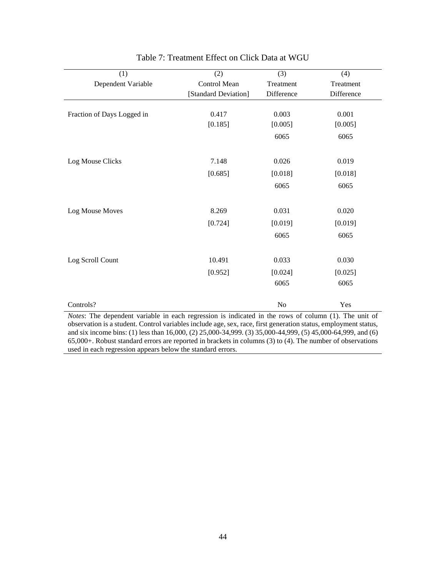| (1)                                                                                                               | (2)                  | (3)            | (4)        |
|-------------------------------------------------------------------------------------------------------------------|----------------------|----------------|------------|
| Dependent Variable                                                                                                | Control Mean         | Treatment      | Treatment  |
|                                                                                                                   | [Standard Deviation] | Difference     | Difference |
|                                                                                                                   |                      |                |            |
| Fraction of Days Logged in                                                                                        | 0.417                | 0.003          | 0.001      |
|                                                                                                                   | [0.185]              | [0.005]        | [0.005]    |
|                                                                                                                   |                      | 6065           | 6065       |
|                                                                                                                   |                      |                |            |
| Log Mouse Clicks                                                                                                  | 7.148                | 0.026          | 0.019      |
|                                                                                                                   | [0.685]              | [0.018]        | [0.018]    |
|                                                                                                                   |                      | 6065           | 6065       |
|                                                                                                                   |                      |                |            |
| Log Mouse Moves                                                                                                   | 8.269                | 0.031          | 0.020      |
|                                                                                                                   | [0.724]              | [0.019]        | [0.019]    |
|                                                                                                                   |                      | 6065           | 6065       |
|                                                                                                                   |                      |                |            |
| Log Scroll Count                                                                                                  | 10.491               | 0.033          | 0.030      |
|                                                                                                                   | [0.952]              | [0.024]        | [0.025]    |
|                                                                                                                   |                      | 6065           | 6065       |
|                                                                                                                   |                      |                |            |
| Controls?<br>Notes: The dependent variable in each regression is indicated in the rows of column (1). The unit of |                      | N <sub>o</sub> | Yes        |

| Table 7: Treatment Effect on Click Data at WGU |  |  |
|------------------------------------------------|--|--|
|------------------------------------------------|--|--|

*Notes*: The dependent variable in each regression is indicated in the rows of column (1). The unit of observation is a student. Control variables include age, sex, race, first generation status, employment status, and six income bins: (1) less than 16,000, (2) 25,000-34,999. (3) 35,000-44,999, (5) 45,000-64,999, and (6) 65,000+. Robust standard errors are reported in brackets in columns (3) to (4). The number of observations used in each regression appears below the standard errors.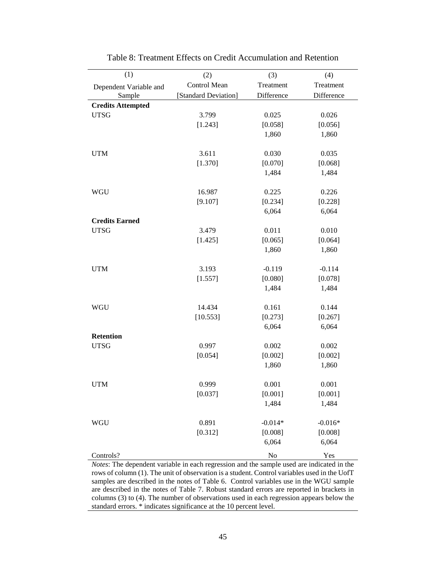| (1)                      | (2)                  | (3)        | (4)        |
|--------------------------|----------------------|------------|------------|
| Dependent Variable and   | Control Mean         | Treatment  | Treatment  |
| Sample                   | [Standard Deviation] | Difference | Difference |
| <b>Credits Attempted</b> |                      |            |            |
| <b>UTSG</b>              | 3.799                | 0.025      | 0.026      |
|                          | [1.243]              | [0.058]    | [0.056]    |
|                          |                      | 1,860      | 1,860      |
| <b>UTM</b>               | 3.611                | 0.030      | 0.035      |
|                          | [1.370]              | [0.070]    | [0.068]    |
|                          |                      | 1,484      | 1,484      |
|                          |                      |            |            |
| <b>WGU</b>               | 16.987               | 0.225      | 0.226      |
|                          | [9.107]              | [0.234]    | [0.228]    |
|                          |                      | 6,064      | 6,064      |
| <b>Credits Earned</b>    |                      |            |            |
| <b>UTSG</b>              | 3.479                | 0.011      | 0.010      |
|                          | [1.425]              | [0.065]    | [0.064]    |
|                          |                      | 1,860      | 1,860      |
| <b>UTM</b>               | 3.193                | $-0.119$   | $-0.114$   |
|                          | [1.557]              | [0.080]    | [0.078]    |
|                          |                      | 1,484      | 1,484      |
| <b>WGU</b>               | 14.434               | 0.161      | 0.144      |
|                          | [10.553]             | [0.273]    | [0.267]    |
|                          |                      | 6,064      | 6,064      |
| <b>Retention</b>         |                      |            |            |
| <b>UTSG</b>              | 0.997                | 0.002      | 0.002      |
|                          | [0.054]              | [0.002]    | [0.002]    |
|                          |                      | 1,860      | 1,860      |
| <b>UTM</b>               | 0.999                | 0.001      | 0.001      |
|                          | [0.037]              | [0.001]    | [0.001]    |
|                          |                      | 1,484      | 1,484      |
| <b>WGU</b>               | 0.891                | $-0.014*$  | $-0.016*$  |
|                          | [0.312]              | [0.008]    | [0.008]    |
|                          |                      | 6,064      | 6,064      |
| Controls?                |                      | $\rm No$   | Yes        |

Table 8: Treatment Effects on Credit Accumulation and Retention

*Notes*: The dependent variable in each regression and the sample used are indicated in the rows of column (1). The unit of observation is a student. Control variables used in the UofT samples are described in the notes of Table 6. Control variables use in the WGU sample are described in the notes of Table 7. Robust standard errors are reported in brackets in columns (3) to (4). The number of observations used in each regression appears below the standard errors. \* indicates significance at the 10 percent level.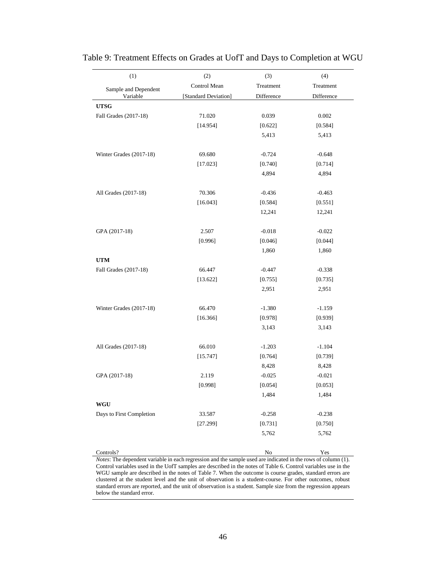| (1)                              | (2)                  | (3)                 | (4)               |
|----------------------------------|----------------------|---------------------|-------------------|
| Sample and Dependent             | Control Mean         | Treatment           | Treatment         |
| Variable                         | [Standard Deviation] | Difference          | Difference        |
| <b>UTSG</b>                      |                      |                     |                   |
| Fall Grades (2017-18)            | 71.020               | 0.039               | 0.002             |
|                                  | [14.954]             | [0.622]             | [0.584]           |
|                                  |                      | 5,413               | 5,413             |
|                                  |                      |                     |                   |
| Winter Grades (2017-18)          | 69.680               | $-0.724$            | $-0.648$          |
|                                  | [17.023]             | [0.740]             | [0.714]           |
|                                  |                      | 4,894               | 4,894             |
| All Grades (2017-18)             | 70.306               | $-0.436$            | $-0.463$          |
|                                  | [16.043]             | [0.584]             | [0.551]           |
|                                  |                      | 12,241              | 12,241            |
|                                  |                      |                     |                   |
| GPA (2017-18)                    | 2.507                | $-0.018$            | $-0.022$          |
|                                  | [0.996]              | [0.046]             | [0.044]           |
|                                  |                      | 1,860               | 1,860             |
| <b>UTM</b>                       |                      |                     |                   |
| Fall Grades (2017-18)            | 66.447<br>[13.622]   | $-0.447$<br>[0.755] | $-0.338$          |
|                                  |                      | 2,951               | [0.735]<br>2,951  |
|                                  |                      |                     |                   |
| Winter Grades (2017-18)          | 66.470               | $-1.380$            | $-1.159$          |
|                                  | [16.366]             | [0.978]             | [0.939]           |
|                                  |                      | 3,143               | 3,143             |
|                                  |                      |                     |                   |
| All Grades (2017-18)             | 66.010               | $-1.203$            | $-1.104$          |
|                                  | [15.747]             | [0.764]             | [0.739]           |
| GPA (2017-18)                    | 2.119                | 8,428<br>$-0.025$   | 8,428<br>$-0.021$ |
|                                  | [0.998]              | [0.054]             | [0.053]           |
|                                  |                      | 1,484               | 1,484             |
| $\mathbf{W}\mathbf{G}\mathbf{U}$ |                      |                     |                   |
| Days to First Completion         | 33.587               | $-0.258$            | $-0.238$          |
|                                  | [27.299]             | [0.731]             | [0.750]           |
|                                  |                      | 5,762               | 5,762             |
|                                  |                      |                     |                   |
|                                  |                      |                     |                   |

Table 9: Treatment Effects on Grades at UofT and Days to Completion at WGU

Controls? No Yes *Notes*: The dependent variable in each regression and the sample used are indicated in the rows of column (1). Control variables used in the UofT samples are described in the notes of Table 6. Control variables use in the WGU sample are described in the notes of Table 7. When the outcome is course grades, standard errors are clustered at the student level and the unit of observation is a student-course. For other outcomes, robust standard errors are reported, and the unit of observation is a student. Sample size from the regression appears below the standard error.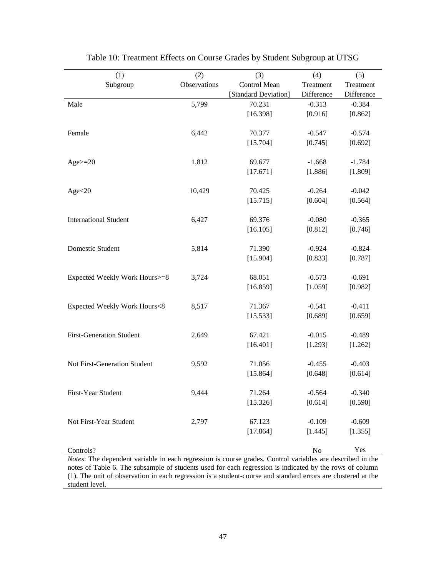| (1)                             | (2)          | (3)                  | (4)        | (5)                 |
|---------------------------------|--------------|----------------------|------------|---------------------|
| Subgroup                        | Observations | Control Mean         | Treatment  | Treatment           |
|                                 |              | [Standard Deviation] | Difference | Difference          |
| Male                            | 5,799        | 70.231               | $-0.313$   | $-0.384$            |
|                                 |              | [16.398]             | [0.916]    | [0.862]             |
|                                 |              |                      |            |                     |
| Female                          | 6,442        | 70.377               | $-0.547$   | $-0.574$            |
|                                 |              | [15.704]             | [0.745]    | [0.692]             |
|                                 |              |                      |            |                     |
| $Age\geq=20$                    | 1,812        | 69.677               | $-1.668$   | $-1.784$            |
|                                 |              | [17.671]             | [1.886]    | [1.809]             |
|                                 |              |                      |            |                     |
| Age<20                          | 10,429       | 70.425               | $-0.264$   | $-0.042$            |
|                                 |              | [15.715]             | [0.604]    | [0.564]             |
| <b>International Student</b>    | 6,427        | 69.376               | $-0.080$   | $-0.365$            |
|                                 |              | [16.105]             | [0.812]    | [0.746]             |
|                                 |              |                      |            |                     |
| Domestic Student                | 5,814        | 71.390               | $-0.924$   | $-0.824$            |
|                                 |              | [15.904]             | [0.833]    | [0.787]             |
|                                 |              |                      |            |                     |
| Expected Weekly Work Hours>=8   | 3,724        | 68.051               | $-0.573$   | $-0.691$            |
|                                 |              | [16.859]             | [1.059]    | [0.982]             |
|                                 |              |                      |            |                     |
| Expected Weekly Work Hours<8    | 8,517        | 71.367               | $-0.541$   | $-0.411$            |
|                                 |              | [15.533]             | [0.689]    | [0.659]             |
|                                 |              |                      |            |                     |
| <b>First-Generation Student</b> | 2,649        | 67.421               | $-0.015$   | $-0.489$            |
|                                 |              | [16.401]             | [1.293]    | [1.262]             |
|                                 |              |                      |            |                     |
| Not First-Generation Student    | 9,592        | 71.056               | $-0.455$   | $-0.403$            |
|                                 |              | [15.864]             | [0.648]    | [0.614]             |
|                                 |              |                      | $-0.564$   |                     |
| First-Year Student              | 9,444        | 71.264               |            | $-0.340$<br>[0.590] |
|                                 |              | [15.326]             | [0.614]    |                     |
| Not First-Year Student          | 2,797        | 67.123               | $-0.109$   | $-0.609$            |
|                                 |              | [17.864]             | [1.445]    | [1.355]             |
|                                 |              |                      |            |                     |
| Controls?                       |              |                      | ${\rm No}$ | Yes                 |

| Table 10: Treatment Effects on Course Grades by Student Subgroup at UTSG |  |  |  |  |  |  |  |  |
|--------------------------------------------------------------------------|--|--|--|--|--|--|--|--|
|--------------------------------------------------------------------------|--|--|--|--|--|--|--|--|

*Notes*: The dependent variable in each regression is course grades. Control variables are described in the notes of Table 6. The subsample of students used for each regression is indicated by the rows of column (1). The unit of observation in each regression is a student-course and standard errors are clustered at the student level.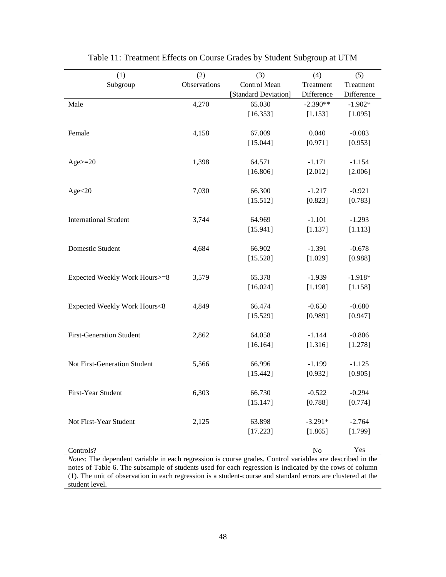| (1)                             | (2)          | (3)                  | (4)        | (5)        |
|---------------------------------|--------------|----------------------|------------|------------|
| Subgroup                        | Observations | Control Mean         | Treatment  | Treatment  |
|                                 |              | [Standard Deviation] | Difference | Difference |
| Male                            | 4,270        | 65.030               | $-2.390**$ | $-1.902*$  |
|                                 |              | [16.353]             | [1.153]    | [1.095]    |
|                                 |              |                      |            |            |
| Female                          | 4,158        | 67.009               | 0.040      | $-0.083$   |
|                                 |              | [15.044]             | [0.971]    | [0.953]    |
|                                 |              |                      |            |            |
| $Age = 20$                      | 1,398        | 64.571               | $-1.171$   | $-1.154$   |
|                                 |              | [16.806]             | [2.012]    | [2.006]    |
|                                 |              |                      |            |            |
| Age<20                          | 7,030        | 66.300               | $-1.217$   | $-0.921$   |
|                                 |              | [15.512]             | [0.823]    | [0.783]    |
| <b>International Student</b>    | 3,744        | 64.969               | $-1.101$   | $-1.293$   |
|                                 |              | [15.941]             |            |            |
|                                 |              |                      | [1.137]    | [1.113]    |
| Domestic Student                | 4,684        | 66.902               | $-1.391$   | $-0.678$   |
|                                 |              | [15.528]             | [1.029]    | [0.988]    |
|                                 |              |                      |            |            |
| Expected Weekly Work Hours>=8   | 3,579        | 65.378               | $-1.939$   | $-1.918*$  |
|                                 |              | [16.024]             | [1.198]    | [1.158]    |
|                                 |              |                      |            |            |
| Expected Weekly Work Hours<8    | 4,849        | 66.474               | $-0.650$   | $-0.680$   |
|                                 |              | [15.529]             | [0.989]    | [0.947]    |
|                                 |              |                      |            |            |
| <b>First-Generation Student</b> | 2,862        | 64.058               | $-1.144$   | $-0.806$   |
|                                 |              | [16.164]             | [1.316]    | [1.278]    |
|                                 |              |                      |            |            |
| Not First-Generation Student    | 5,566        | 66.996               | $-1.199$   | $-1.125$   |
|                                 |              | [15.442]             | [0.932]    | [0.905]    |
|                                 |              |                      |            |            |
| First-Year Student              | 6,303        | 66.730               | $-0.522$   | $-0.294$   |
|                                 |              | [15.147]             | [0.788]    | [0.774]    |
| Not First-Year Student          |              |                      |            |            |
|                                 | 2,125        | 63.898               | $-3.291*$  | $-2.764$   |
|                                 |              | [17.223]             | [1.865]    | [1.799]    |
| Controls?                       |              |                      | No         | Yes        |
|                                 |              |                      |            |            |

|  |  |  | Table 11: Treatment Effects on Course Grades by Student Subgroup at UTM |  |
|--|--|--|-------------------------------------------------------------------------|--|
|  |  |  |                                                                         |  |

*Notes*: The dependent variable in each regression is course grades. Control variables are described in the notes of Table 6. The subsample of students used for each regression is indicated by the rows of column (1). The unit of observation in each regression is a student-course and standard errors are clustered at the student level.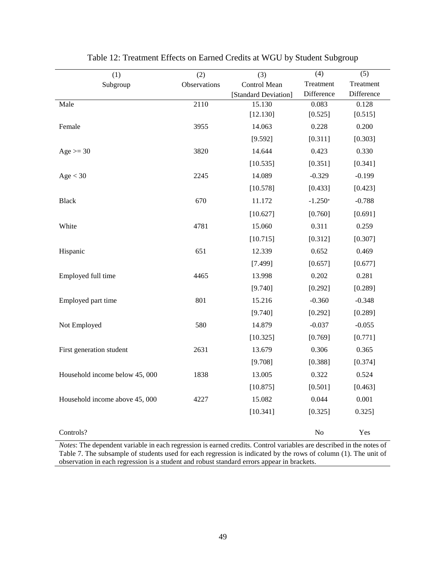| (1)                            | (2)          | (3)                  | (4)        | (5)        |
|--------------------------------|--------------|----------------------|------------|------------|
| Subgroup                       | Observations | Control Mean         | Treatment  | Treatment  |
|                                |              | [Standard Deviation] | Difference | Difference |
| Male                           | 2110         | 15.130               | 0.083      | 0.128      |
|                                |              | [12.130]             | [0.525]    | [0.515]    |
| Female                         | 3955         | 14.063               | 0.228      | 0.200      |
|                                |              | [9.592]              | [0.311]    | [0.303]    |
| Age $>=$ 30                    | 3820         | 14.644               | 0.423      | 0.330      |
|                                |              | [10.535]             | [0.351]    | [0.341]    |
| Age < 30                       | 2245         | 14.089               | $-0.329$   | $-0.199$   |
|                                |              | [10.578]             | [0.433]    | [0.423]    |
| <b>Black</b>                   | 670          | 11.172               | $-1.250*$  | $-0.788$   |
|                                |              | [10.627]             | [0.760]    | [0.691]    |
| White                          | 4781         | 15.060               | 0.311      | 0.259      |
|                                |              | [10.715]             | [0.312]    | [0.307]    |
| Hispanic                       | 651          | 12.339               | 0.652      | 0.469      |
|                                |              | [7.499]              | [0.657]    | [0.677]    |
| Employed full time             | 4465         | 13.998               | 0.202      | 0.281      |
|                                |              | [9.740]              | [0.292]    | [0.289]    |
| Employed part time             | 801          | 15.216               | $-0.360$   | $-0.348$   |
|                                |              | [9.740]              | [0.292]    | [0.289]    |
| Not Employed                   | 580          | 14.879               | $-0.037$   | $-0.055$   |
|                                |              | [10.325]             | [0.769]    | [0.771]    |
| First generation student       | 2631         | 13.679               | 0.306      | 0.365      |
|                                |              | [9.708]              | [0.388]    | [0.374]    |
| Household income below 45, 000 | 1838         | 13.005               | 0.322      | 0.524      |
|                                |              | [10.875]             | [0.501]    | [0.463]    |
| Household income above 45, 000 | 4227         | 15.082               | 0.044      | 0.001      |
|                                |              | [10.341]             | [0.325]    | 0.325]     |
| Controls?                      |              |                      | No         | Yes        |

Table 12: Treatment Effects on Earned Credits at WGU by Student Subgroup

*Notes*: The dependent variable in each regression is earned credits. Control variables are described in the notes of Table 7. The subsample of students used for each regression is indicated by the rows of column (1). The unit of observation in each regression is a student and robust standard errors appear in brackets.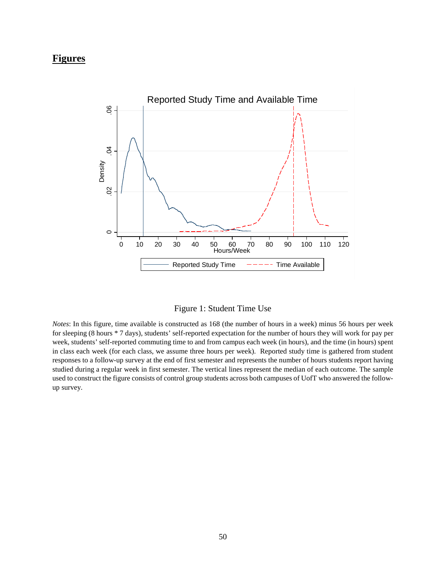## **Figures**



Figure 1: Student Time Use

*Notes*: In this figure, time available is constructed as 168 (the number of hours in a week) minus 56 hours per week for sleeping (8 hours \* 7 days), students' self-reported expectation for the number of hours they will work for pay per week, students' self-reported commuting time to and from campus each week (in hours), and the time (in hours) spent in class each week (for each class, we assume three hours per week). Reported study time is gathered from student responses to a follow-up survey at the end of first semester and represents the number of hours students report having studied during a regular week in first semester. The vertical lines represent the median of each outcome. The sample used to construct the figure consists of control group students across both campuses of UofT who answered the followup survey.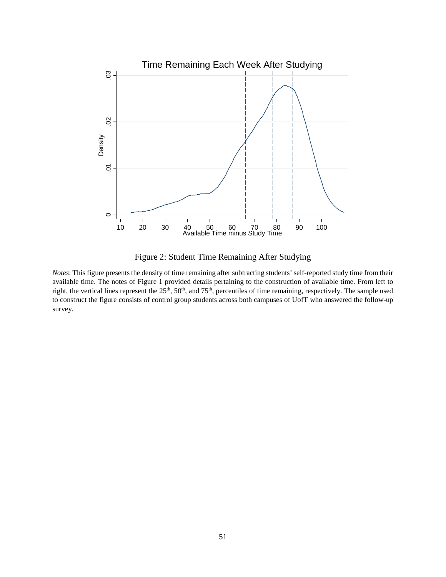

Figure 2: Student Time Remaining After Studying

*Notes*: This figure presents the density of time remaining after subtracting students' self-reported study time from their available time. The notes of Figure 1 provided details pertaining to the construction of available time. From left to right, the vertical lines represent the 25<sup>th</sup>, 50<sup>th</sup>, and 75<sup>th</sup>, percentiles of time remaining, respectively. The sample used to construct the figure consists of control group students across both campuses of UofT who answered the follow-up survey.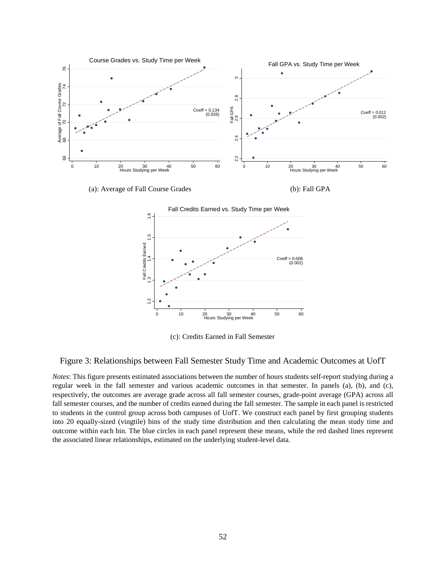



(c): Credits Earned in Fall Semester

#### Figure 3: Relationships between Fall Semester Study Time and Academic Outcomes at UofT

*Notes*: This figure presents estimated associations between the number of hours students self-report studying during a regular week in the fall semester and various academic outcomes in that semester. In panels (a), (b), and (c), respectively, the outcomes are average grade across all fall semester courses, grade-point average (GPA) across all fall semester courses, and the number of credits earned during the fall semester. The sample in each panel is restricted to students in the control group across both campuses of UofT. We construct each panel by first grouping students into 20 equally-sized (vingtile) bins of the study time distribution and then calculating the mean study time and outcome within each bin. The blue circles in each panel represent these means, while the red dashed lines represent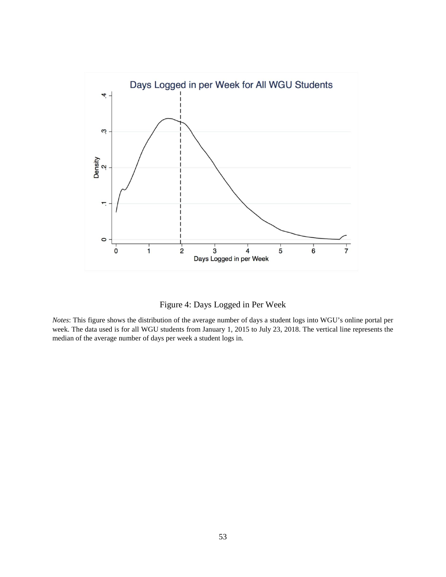

Figure 4: Days Logged in Per Week

*Notes*: This figure shows the distribution of the average number of days a student logs into WGU's online portal per week. The data used is for all WGU students from January 1, 2015 to July 23, 2018. The vertical line represents the median of the average number of days per week a student logs in.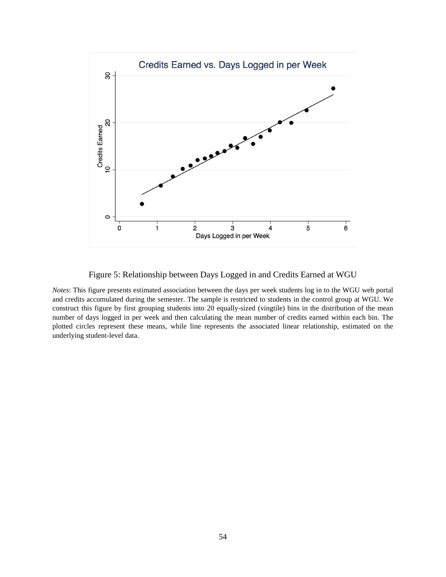

Figure 5: Relationship between Days Logged in and Credits Earned at WGU

*Notes*: This figure presents estimated association between the days per week students log in to the WGU web portal and credits accumulated during the semester. The sample is restricted to students in the control group at WGU. We construct this figure by first grouping students into 20 equally-sized (vingtile) bins in the distribution of the mean number of days logged in per week and then calculating the mean number of credits earned within each bin. The plotted circles represent these means, while line represents the associated linear relationship, estimated on the underlying student-level data.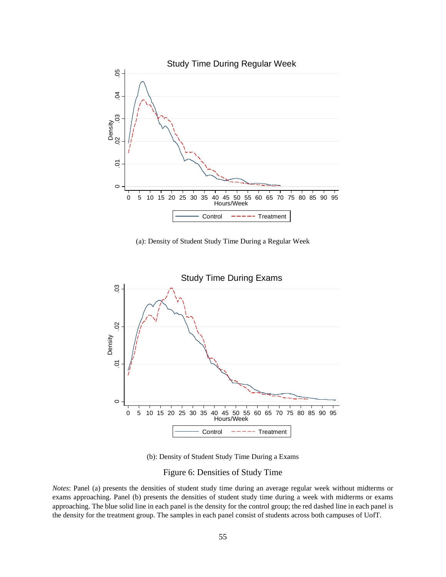

(a): Density of Student Study Time During a Regular Week



(b): Density of Student Study Time During a Exams

## Figure 6: Densities of Study Time

*Notes*: Panel (a) presents the densities of student study time during an average regular week without midterms or exams approaching. Panel (b) presents the densities of student study time during a week with midterms or exams approaching. The blue solid line in each panel is the density for the control group; the red dashed line in each panel is the density for the treatment group. The samples in each panel consist of students across both campuses of UofT.